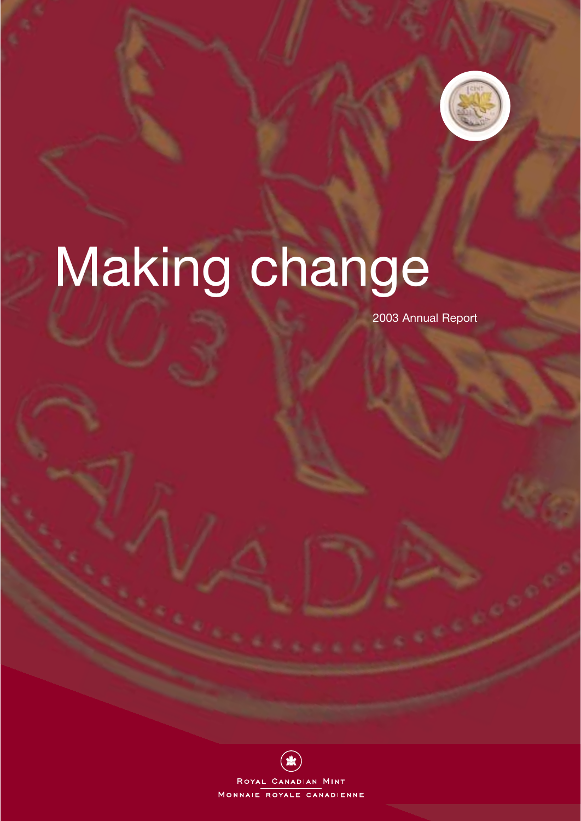

# Making change

2003 Annual Report

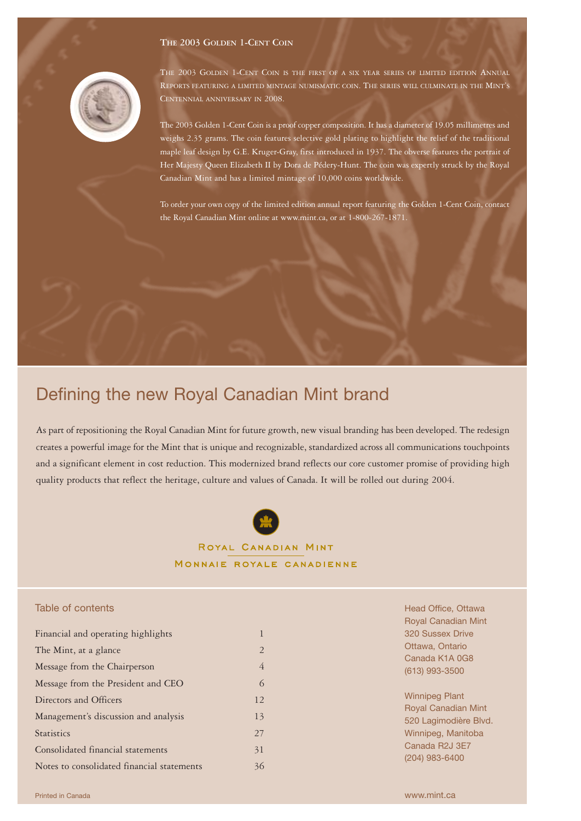# **THE 2003 GOLDEN 1-CENT COIN**



THE 2003 GOLDEN 1-CENT COIN IS THE FIRST OF A SIX YEAR SERIES OF LIMITED EDITION ANNUAL REPORTS FEATURING A LIMITED MINTAGE NUMISMATIC COIN. THE SERIES WILL CULMINATE IN THE MINT'S CENTENNIAL ANNIVERSARY IN 2008.

The 2003 Golden 1-Cent Coin is a proof copper composition. It has a diameter of 19.05 millimetres and weighs 2.35 grams. The coin features selective gold plating to highlight the relief of the traditional maple leaf design by G.E. Kruger-Gray, first introduced in 1937. The obverse features the portrait of Her Majesty Queen Elizabeth II by Dora de Pédery-Hunt. The coin was expertly struck by the Royal Canadian Mint and has a limited mintage of 10,000 coins worldwide.

To order your own copy of the limited edition annual report featuring the Golden 1-Cent Coin, contact the Royal Canadian Mint online at www.mint.ca, or at 1-800-267-1871.

# Defining the new Royal Canadian Mint brand

As part of repositioning the Royal Canadian Mint for future growth, new visual branding has been developed. The redesign creates a powerful image for the Mint that is unique and recognizable, standardized across all communications touchpoints and a significant element in cost reduction. This modernized brand reflects our core customer promise of providing high quality products that reflect the heritage, culture and values of Canada. It will be rolled out during 2004.



# ROYAL CANADIAN MINT MONNAIE ROYALE CANADIENNE

# Table of contents

| Financial and operating highlights         | 1              |
|--------------------------------------------|----------------|
| The Mint, at a glance                      | $\overline{2}$ |
| Message from the Chairperson               | 4              |
| Message from the President and CEO         | 6              |
| Directors and Officers                     | 12             |
| Management's discussion and analysis       | 13             |
| <b>Statistics</b>                          | 27             |
| Consolidated financial statements          | 31             |
| Notes to consolidated financial statements | 36             |

Head Office, Ottawa Royal Canadian Mint 320 Sussex Drive Ottawa, Ontario Canada K1A 0G8 (613) 993-3500

Winnipeg Plant Royal Canadian Mint 520 Lagimodière Blvd. Winnipeg, Manitoba Canada R2J 3E7 (204) 983-6400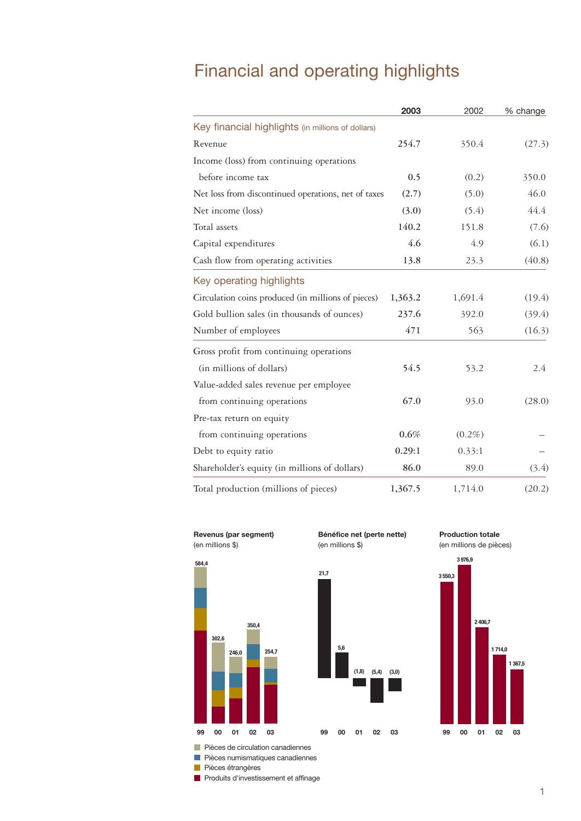# Financial and operating highlights

|                                                     | 2003    | 2002      | % change |
|-----------------------------------------------------|---------|-----------|----------|
| Key financial highlights (in millions of dollars)   |         |           |          |
| Revenue                                             | 254.7   | 350.4     | (27.3)   |
| Income (loss) from continuing operations            |         |           |          |
| before income tax                                   | 0.5     | (0.2)     | 350.0    |
| Net loss from discontinued operations, net of taxes | (2.7)   | (5.0)     | 46.0     |
| Net income (loss)                                   | (3.0)   | (5.4)     | 44.4     |
| Total assets                                        | 140.2   | 151.8     | (7.6)    |
| Capital expenditures                                | 4.6     | 4.9       | (6.1)    |
| Cash flow from operating activities                 | 13.8    | 23.3      | (40.8)   |
| Key operating highlights                            |         |           |          |
| Circulation coins produced (in millions of pieces)  | 1,363.2 | 1,691.4   | (19.4)   |
| Gold bullion sales (in thousands of ounces)         | 237.6   | 392.0     | (39.4)   |
| Number of employees                                 | 471     | 563       | (16.3)   |
| Gross profit from continuing operations             |         |           |          |
| (in millions of dollars)                            | 54.5    | 53.2      | 2.4      |
| Value-added sales revenue per employee              |         |           |          |
| from continuing operations                          | 67.0    | 93.0      | (28.0)   |
| Pre-tax return on equity                            |         |           |          |
| from continuing operations                          | 0.6%    | $(0.2\%)$ |          |
| Debt to equity ratio                                | 0.29:1  | 0.33:1    |          |
| Shareholder's equity (in millions of dollars)       | 86.0    | 89.0      | (3.4)    |
| Total production (millions of pieces)               | 1,367.5 | 1,714.0   | (20.2)   |



**584,4**

**302,6**



**Production totale**





**5,6**

**21,7**

(en millions de pièces)



**(5,4) (1,8) (3,0)**

**Pièces de circulation canadiennes** Pièces numismatiques canadiennes

Pièces étrangères

**99 01 00 02 03**

**246,0**

**350,4**

**254,7**

**Produits d'investissement et affinage**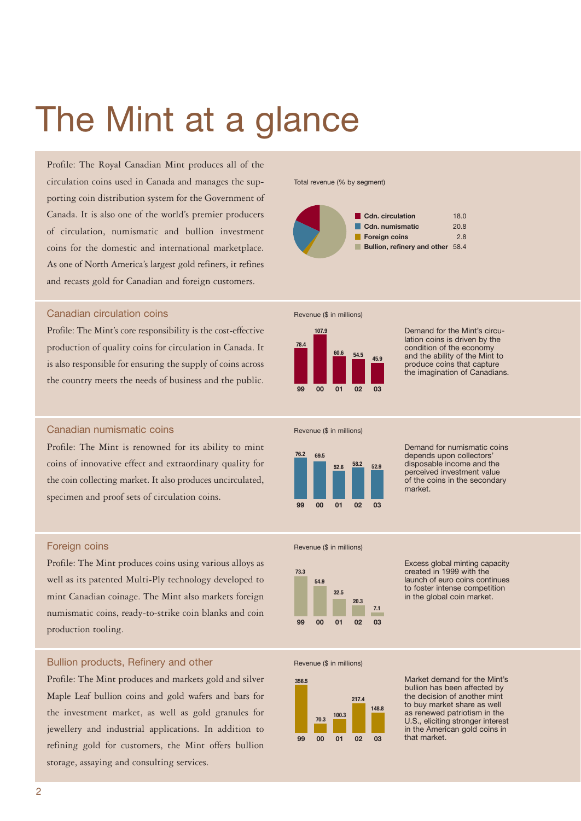# The Mint at a glance

Profile: The Royal Canadian Mint produces all of the circulation coins used in Canada and manages the supporting coin distribution system for the Government of Canada. It is also one of the world's premier producers of circulation, numismatic and bullion investment coins for the domestic and international marketplace. As one of North America's largest gold refiners, it refines and recasts gold for Canadian and foreign customers.

# Canadian circulation coins

Profile: The Mint's core responsibility is the cost-effective production of quality coins for circulation in Canada. It is also responsible for ensuring the supply of coins across the country meets the needs of business and the public.

# Canadian numismatic coins

Profile: The Mint is renowned for its ability to mint coins of innovative effect and extraordinary quality for the coin collecting market. It also produces uncirculated, specimen and proof sets of circulation coins.

# Foreign coins

Profile: The Mint produces coins using various alloys as well as its patented Multi-Ply technology developed to mint Canadian coinage. The Mint also markets foreign numismatic coins, ready-to-strike coin blanks and coin production tooling.

# Bullion products, Refinery and other

Profile: The Mint produces and markets gold and silver Maple Leaf bullion coins and gold wafers and bars for the investment market, as well as gold granules for jewellery and industrial applications. In addition to refining gold for customers, the Mint offers bullion storage, assaying and consulting services.

Total revenue (% by segment)







Demand for the Mint's circulation coins is driven by the condition of the economy and the ability of the Mint to produce coins that capture the imagination of Canadians.

Revenue (\$ in millions)



Demand for numismatic coins depends upon collectors' disposable income and the perceived investment value of the coins in the secondary market.

### Revenue (\$ in millions)



Excess global minting capacity created in 1999 with the launch of euro coins continues to foster intense competition in the global coin market.

Revenue (\$ in millions)



Market demand for the Mint's bullion has been affected by the decision of another mint to buy market share as well as renewed patriotism in the U.S., eliciting stronger interest in the American gold coins in that market.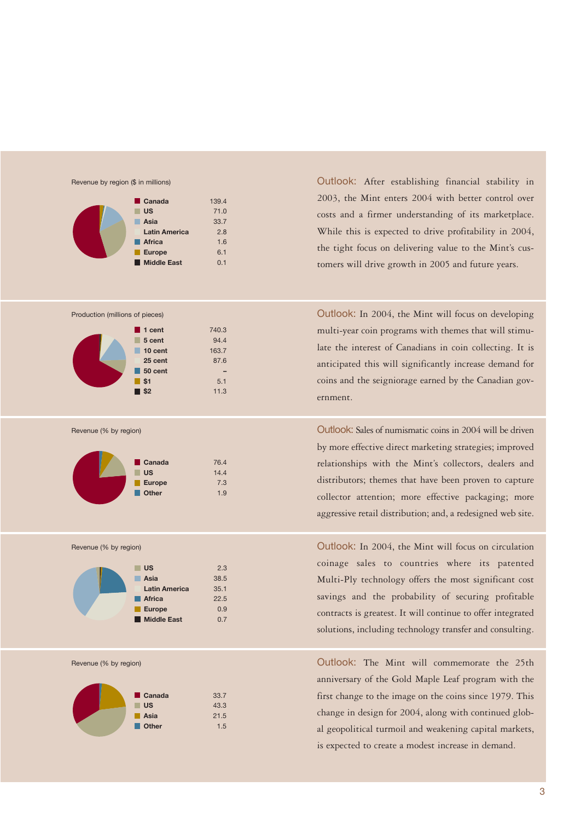

| Canada<br>г.         | 139.4 |
|----------------------|-------|
| <b>US</b>            | 71.0  |
| Asia                 | 33.7  |
| <b>Latin America</b> | 2.8   |
| <b>Africa</b>        | 1.6   |
| <b>Europe</b>        | 6.1   |
| <b>Middle East</b>   | 0.1   |





Revenue (% by region)



Revenue (% by region)



Revenue (% by region)



Outlook: After establishing financial stability in 2003, the Mint enters 2004 with better control over costs and a firmer understanding of its marketplace. While this is expected to drive profitability in 2004, the tight focus on delivering value to the Mint's customers will drive growth in 2005 and future years.

Outlook: In 2004, the Mint will focus on developing multi-year coin programs with themes that will stimulate the interest of Canadians in coin collecting. It is anticipated this will significantly increase demand for coins and the seigniorage earned by the Canadian government.

Outlook: Sales of numismatic coins in 2004 will be driven by more effective direct marketing strategies; improved relationships with the Mint's collectors, dealers and distributors; themes that have been proven to capture collector attention; more effective packaging; more aggressive retail distribution; and, a redesigned web site.

Outlook: In 2004, the Mint will focus on circulation coinage sales to countries where its patented Multi-Ply technology offers the most significant cost savings and the probability of securing profitable contracts is greatest. It will continue to offer integrated solutions, including technology transfer and consulting.

Outlook: The Mint will commemorate the 25th anniversary of the Gold Maple Leaf program with the first change to the image on the coins since 1979. This change in design for 2004, along with continued global geopolitical turmoil and weakening capital markets, is expected to create a modest increase in demand.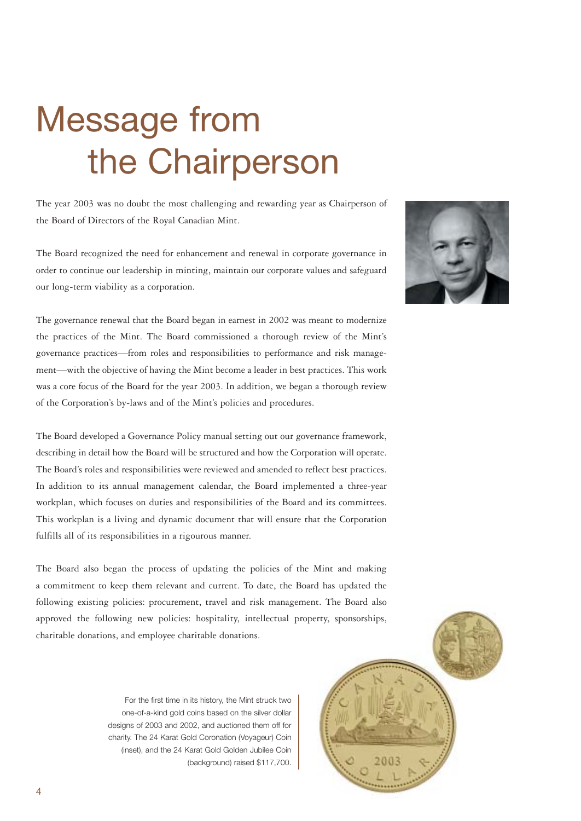# Message from the Chairperson

The year 2003 was no doubt the most challenging and rewarding year as Chairperson of the Board of Directors of the Royal Canadian Mint.

The Board recognized the need for enhancement and renewal in corporate governance in order to continue our leadership in minting, maintain our corporate values and safeguard our long-term viability as a corporation.



The governance renewal that the Board began in earnest in 2002 was meant to modernize the practices of the Mint. The Board commissioned a thorough review of the Mint's governance practices—from roles and responsibilities to performance and risk management—with the objective of having the Mint become a leader in best practices. This work was a core focus of the Board for the year 2003. In addition, we began a thorough review of the Corporation's by-laws and of the Mint's policies and procedures.

The Board developed a Governance Policy manual setting out our governance framework, describing in detail how the Board will be structured and how the Corporation will operate. The Board's roles and responsibilities were reviewed and amended to reflect best practices. In addition to its annual management calendar, the Board implemented a three-year workplan, which focuses on duties and responsibilities of the Board and its committees. This workplan is a living and dynamic document that will ensure that the Corporation fulfills all of its responsibilities in a rigourous manner.

The Board also began the process of updating the policies of the Mint and making a commitment to keep them relevant and current. To date, the Board has updated the following existing policies: procurement, travel and risk management. The Board also approved the following new policies: hospitality, intellectual property, sponsorships, charitable donations, and employee charitable donations.

> For the first time in its history, the Mint struck two one-of-a-kind gold coins based on the silver dollar designs of 2003 and 2002, and auctioned them off for charity. The 24 Karat Gold Coronation (Voyageur) Coin (inset), and the 24 Karat Gold Golden Jubilee Coin (background) raised \$117,700.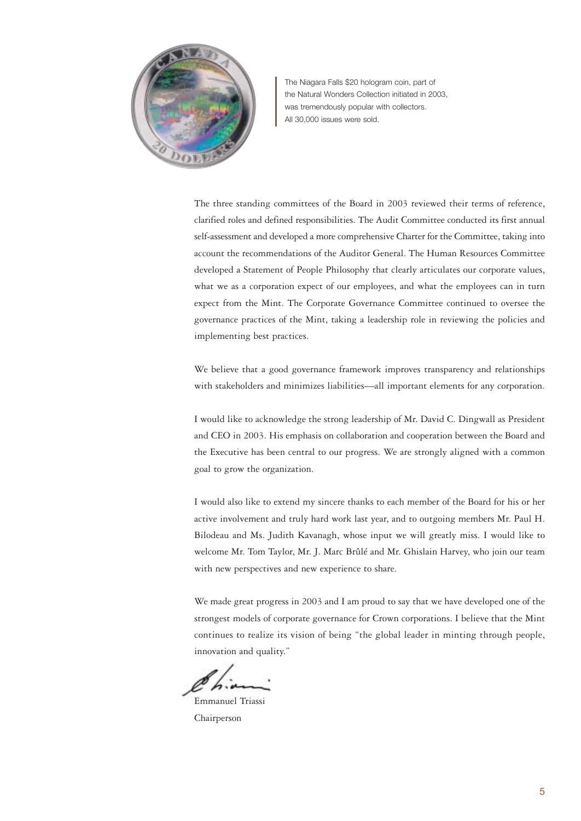

The Niagara Falls \$20 hologram coin, part of the Natural Wonders Collection initiated in 2003, was tremendously popular with collectors. All 30,000 issues were sold.

The three standing committees of the Board in 2003 reviewed their terms of reference, clarified roles and defined responsibilities. The Audit Committee conducted its first annual self-assessment and developed a more comprehensive Charter for the Committee, taking into account the recommendations of the Auditor General. The Human Resources Committee developed a Statement of People Philosophy that clearly articulates our corporate values, what we as a corporation expect of our employees, and what the employees can in turn expect from the Mint. The Corporate Governance Committee continued to oversee the governance practices of the Mint, taking a leadership role in reviewing the policies and implementing best practices.

We believe that a good governance framework improves transparency and relationships with stakeholders and minimizes liabilities—all important elements for any corporation.

I would like to acknowledge the strong leadership of Mr. David C. Dingwall as President and CEO in 2003. His emphasis on collaboration and cooperation between the Board and the Executive has been central to our progress. We are strongly aligned with a common goal to grow the organization.

I would also like to extend my sincere thanks to each member of the Board for his or her active involvement and truly hard work last year, and to outgoing members Mr. Paul H. Bilodeau and Ms. Judith Kavanagh, whose input we will greatly miss. I would like to welcome Mr. Tom Taylor, Mr. J. Marc Brûlé and Mr. Ghislain Harvey, who join our team with new perspectives and new experience to share.

We made great progress in 2003 and I am proud to say that we have developed one of the strongest models of corporate governance for Crown corporations. I believe that the Mint continues to realize its vision of being "the global leader in minting through people, innovation and quality."

Emmanuel Triassi Chairperson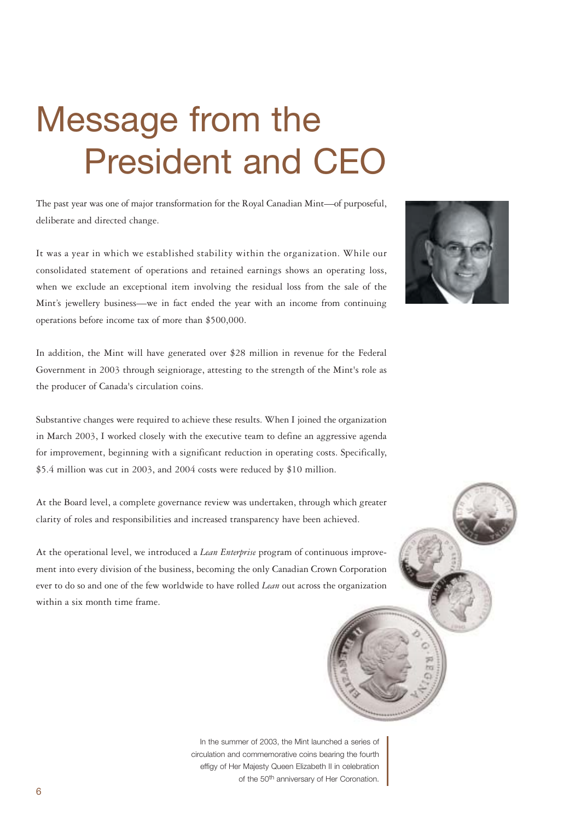# Message from the President and CEO

The past year was one of major transformation for the Royal Canadian Mint—of purposeful, deliberate and directed change.

It was a year in which we established stability within the organization. While our consolidated statement of operations and retained earnings shows an operating loss, when we exclude an exceptional item involving the residual loss from the sale of the Mint's jewellery business—we in fact ended the year with an income from continuing operations before income tax of more than \$500,000.



In addition, the Mint will have generated over \$28 million in revenue for the Federal Government in 2003 through seigniorage, attesting to the strength of the Mint's role as the producer of Canada's circulation coins.

Substantive changes were required to achieve these results. When I joined the organization in March 2003, I worked closely with the executive team to define an aggressive agenda for improvement, beginning with a significant reduction in operating costs. Specifically, \$5.4 million was cut in 2003, and 2004 costs were reduced by \$10 million.

At the Board level, a complete governance review was undertaken, through which greater clarity of roles and responsibilities and increased transparency have been achieved.

At the operational level, we introduced a *Lean Enterprise* program of continuous improvement into every division of the business, becoming the only Canadian Crown Corporation ever to do so and one of the few worldwide to have rolled *Lean* out across the organization within a six month time frame.

In the summer of 2003, the Mint launched a series of circulation and commemorative coins bearing the fourth effigy of Her Majesty Queen Elizabeth II in celebration of the 50<sup>th</sup> anniversary of Her Coronation.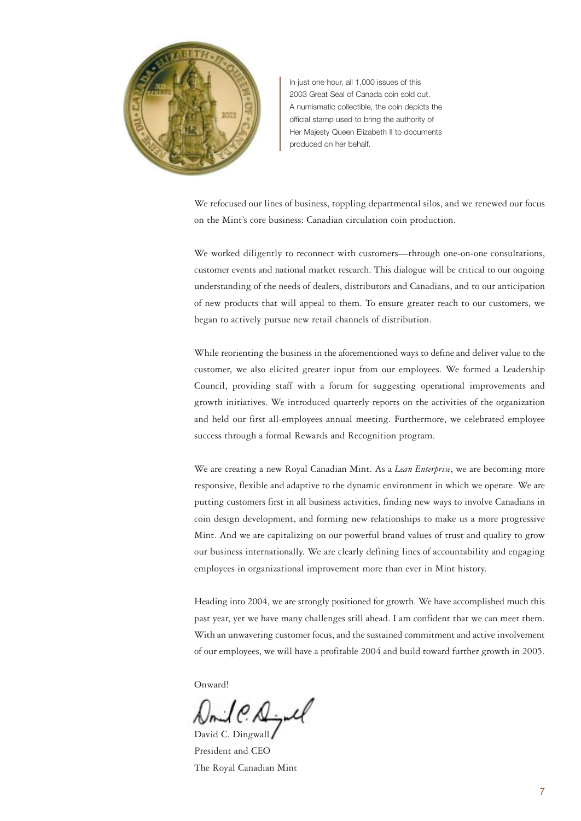

In just one hour, all 1,000 issues of this 2003 Great Seal of Canada coin sold out. A numismatic collectible, the coin depicts the official stamp used to bring the authority of Her Majesty Queen Elizabeth II to documents produced on her behalf.

We refocused our lines of business, toppling departmental silos, and we renewed our focus on the Mint's core business: Canadian circulation coin production.

We worked diligently to reconnect with customers—through one-on-one consultations, customer events and national market research. This dialogue will be critical to our ongoing understanding of the needs of dealers, distributors and Canadians, and to our anticipation of new products that will appeal to them. To ensure greater reach to our customers, we began to actively pursue new retail channels of distribution.

While reorienting the business in the aforementioned ways to define and deliver value to the customer, we also elicited greater input from our employees. We formed a Leadership Council, providing staff with a forum for suggesting operational improvements and growth initiatives. We introduced quarterly reports on the activities of the organization and held our first all-employees annual meeting. Furthermore, we celebrated employee success through a formal Rewards and Recognition program.

We are creating a new Royal Canadian Mint. As a *Lean Enterprise*, we are becoming more responsive, flexible and adaptive to the dynamic environment in which we operate. We are putting customers first in all business activities, finding new ways to involve Canadians in coin design development, and forming new relationships to make us a more progressive Mint. And we are capitalizing on our powerful brand values of trust and quality to grow our business internationally. We are clearly defining lines of accountability and engaging employees in organizational improvement more than ever in Mint history.

Heading into 2004, we are strongly positioned for growth. We have accomplished much this past year, yet we have many challenges still ahead. I am confident that we can meet them. With an unwavering customer focus, and the sustained commitment and active involvement of our employees, we will have a profitable 2004 and build toward further growth in 2005.

Onward!

 $\circ \mathcal{A}$ . David C. Dingwall

President and CEO The Royal Canadian Mint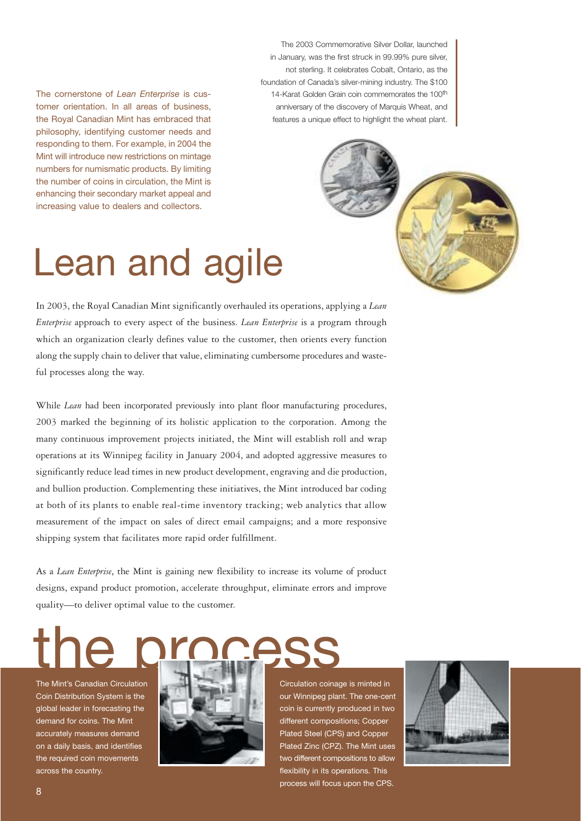The cornerstone of *Lean Enterprise* is customer orientation. In all areas of business, the Royal Canadian Mint has embraced that philosophy, identifying customer needs and responding to them. For example, in 2004 the Mint will introduce new restrictions on mintage numbers for numismatic products. By limiting the number of coins in circulation, the Mint is enhancing their secondary market appeal and increasing value to dealers and collectors.

The 2003 Commemorative Silver Dollar, launched in January, was the first struck in 99.99% pure silver, not sterling. It celebrates Cobalt, Ontario, as the foundation of Canada's silver-mining industry. The \$100 14-Karat Golden Grain coin commemorates the 100<sup>th</sup> anniversary of the discovery of Marquis Wheat, and features a unique effect to highlight the wheat plant.



# Lean and agile

In 2003, the Royal Canadian Mint significantly overhauled its operations, applying a *Lean Enterprise* approach to every aspect of the business. *Lean Enterprise* is a program through which an organization clearly defines value to the customer, then orients every function along the supply chain to deliver that value, eliminating cumbersome procedures and wasteful processes along the way.

While *Lean* had been incorporated previously into plant floor manufacturing procedures, 2003 marked the beginning of its holistic application to the corporation. Among the many continuous improvement projects initiated, the Mint will establish roll and wrap operations at its Winnipeg facility in January 2004, and adopted aggressive measures to significantly reduce lead times in new product development, engraving and die production, and bullion production. Complementing these initiatives, the Mint introduced bar coding at both of its plants to enable real-time inventory tracking; web analytics that allow measurement of the impact on sales of direct email campaigns; and a more responsive shipping system that facilitates more rapid order fulfillment.

As a *Lean Enterprise*, the Mint is gaining new flexibility to increase its volume of product designs, expand product promotion, accelerate throughput, eliminate errors and improve quality—to deliver optimal value to the customer.

the process

The Mint's Canadian Circulation Coin Distribution System is the global leader in forecasting the demand for coins. The Mint accurately measures demand on a daily basis, and identifies the required coin movements across the country.



# Circulation coinage is minted in our Winnipeg plant. The one-cent coin is currently produced in two different compositions; Copper Plated Steel (CPS) and Copper Plated Zinc (CPZ). The Mint uses two different compositions to allow flexibility in its operations. This process will focus upon the CPS.

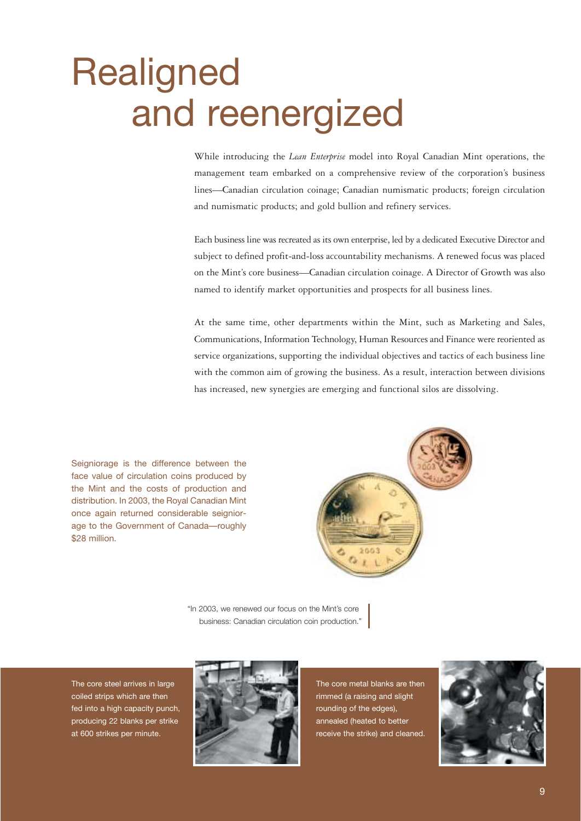# **Realigned** and reenergized

While introducing the *Lean Enterprise* model into Royal Canadian Mint operations, the management team embarked on a comprehensive review of the corporation's business lines—Canadian circulation coinage; Canadian numismatic products; foreign circulation and numismatic products; and gold bullion and refinery services.

Each business line was recreated as its own enterprise, led by a dedicated Executive Director and subject to defined profit-and-loss accountability mechanisms. A renewed focus was placed on the Mint's core business—Canadian circulation coinage. A Director of Growth was also named to identify market opportunities and prospects for all business lines.

At the same time, other departments within the Mint, such as Marketing and Sales, Communications, Information Technology, Human Resources and Finance were reoriented as service organizations, supporting the individual objectives and tactics of each business line with the common aim of growing the business. As a result, interaction between divisions has increased, new synergies are emerging and functional silos are dissolving.

Seigniorage is the difference between the face value of circulation coins produced by the Mint and the costs of production and distribution. In 2003, the Royal Canadian Mint once again returned considerable seigniorage to the Government of Canada—roughly \$28 million.



"In 2003, we renewed our focus on the Mint's core business: Canadian circulation coin production."

The core steel arrives in large coiled strips which are then fed into a high capacity punch, producing 22 blanks per strike at 600 strikes per minute.



The core metal blanks are then rimmed (a raising and slight rounding of the edges), annealed (heated to better receive the strike) and cleaned.

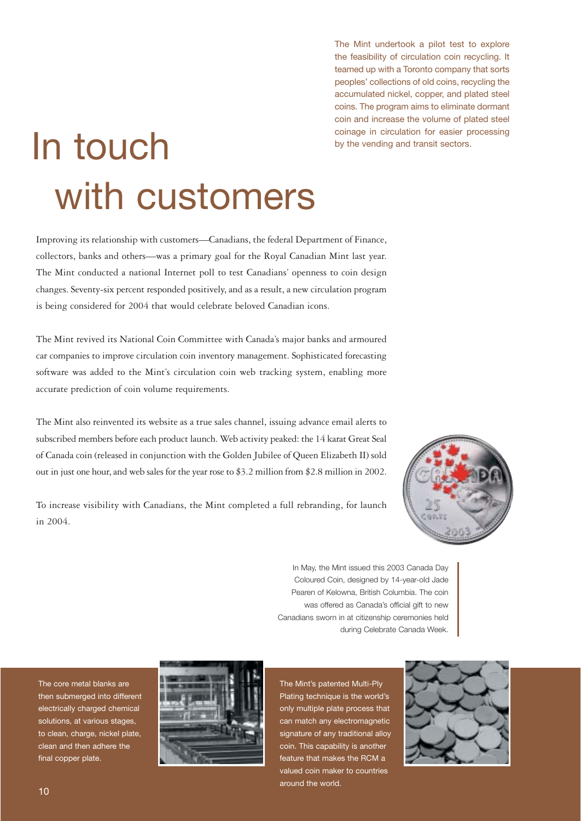The Mint undertook a pilot test to explore the feasibility of circulation coin recycling. It teamed up with a Toronto company that sorts peoples' collections of old coins, recycling the accumulated nickel, copper, and plated steel coins. The program aims to eliminate dormant coin and increase the volume of plated steel coinage in circulation for easier processing by the vending and transit sectors.

# In touch with customers

Improving its relationship with customers—Canadians, the federal Department of Finance, collectors, banks and others—was a primary goal for the Royal Canadian Mint last year. The Mint conducted a national Internet poll to test Canadians' openness to coin design changes. Seventy-six percent responded positively, and as a result, a new circulation program is being considered for 2004 that would celebrate beloved Canadian icons.

The Mint revived its National Coin Committee with Canada's major banks and armoured car companies to improve circulation coin inventory management. Sophisticated forecasting software was added to the Mint's circulation coin web tracking system, enabling more accurate prediction of coin volume requirements.

The Mint also reinvented its website as a true sales channel, issuing advance email alerts to subscribed members before each product launch. Web activity peaked: the 14 karat Great Seal of Canada coin (released in conjunction with the Golden Jubilee of Queen Elizabeth II) sold out in just one hour, and web sales for the year rose to \$3.2 million from \$2.8 million in 2002.

To increase visibility with Canadians, the Mint completed a full rebranding, for launch in 2004.



In May, the Mint issued this 2003 Canada Day Coloured Coin, designed by 14-year-old Jade Pearen of Kelowna, British Columbia. The coin was offered as Canada's official gift to new Canadians sworn in at citizenship ceremonies held during Celebrate Canada Week.

The core metal blanks are then submerged into different electrically charged chemical solutions, at various stages, to clean, charge, nickel plate, clean and then adhere the final copper plate.



The Mint's patented Multi-Ply Plating technique is the world's only multiple plate process that can match any electromagnetic signature of any traditional alloy coin. This capability is another feature that makes the RCM a valued coin maker to countries around the world.

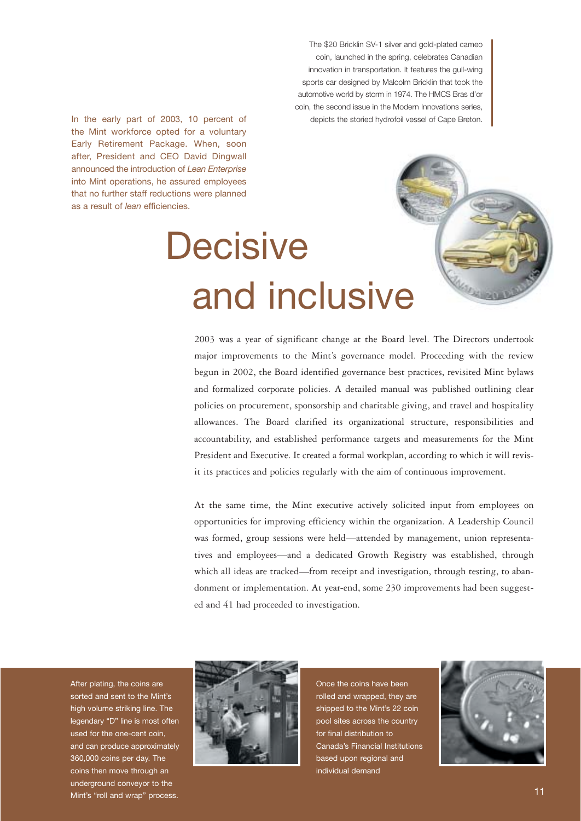The \$20 Bricklin SV-1 silver and gold-plated cameo coin, launched in the spring, celebrates Canadian innovation in transportation. It features the gull-wing sports car designed by Malcolm Bricklin that took the automotive world by storm in 1974. The HMCS Bras d'or coin, the second issue in the Modern Innovations series, depicts the storied hydrofoil vessel of Cape Breton.

In the early part of 2003, 10 percent of the Mint workforce opted for a voluntary Early Retirement Package. When, soon after, President and CEO David Dingwall announced the introduction of *Lean Enterprise* into Mint operations, he assured employees that no further staff reductions were planned as a result of *lean* efficiencies.

# **Decisive** and inclusive

2003 was a year of significant change at the Board level. The Directors undertook major improvements to the Mint's governance model. Proceeding with the review begun in 2002, the Board identified governance best practices, revisited Mint bylaws and formalized corporate policies. A detailed manual was published outlining clear policies on procurement, sponsorship and charitable giving, and travel and hospitality allowances. The Board clarified its organizational structure, responsibilities and accountability, and established performance targets and measurements for the Mint President and Executive. It created a formal workplan, according to which it will revisit its practices and policies regularly with the aim of continuous improvement.

At the same time, the Mint executive actively solicited input from employees on opportunities for improving efficiency within the organization. A Leadership Council was formed, group sessions were held—attended by management, union representatives and employees—and a dedicated Growth Registry was established, through which all ideas are tracked—from receipt and investigation, through testing, to abandonment or implementation. At year-end, some 230 improvements had been suggested and 41 had proceeded to investigation.

After plating, the coins are sorted and sent to the Mint's high volume striking line. The legendary "D" line is most often used for the one-cent coin, and can produce approximately 360,000 coins per day. The coins then move through an underground conveyor to the Mint's "roll and wrap" process.



Once the coins have been rolled and wrapped, they are shipped to the Mint's 22 coin pool sites across the country for final distribution to Canada's Financial Institutions based upon regional and individual demand

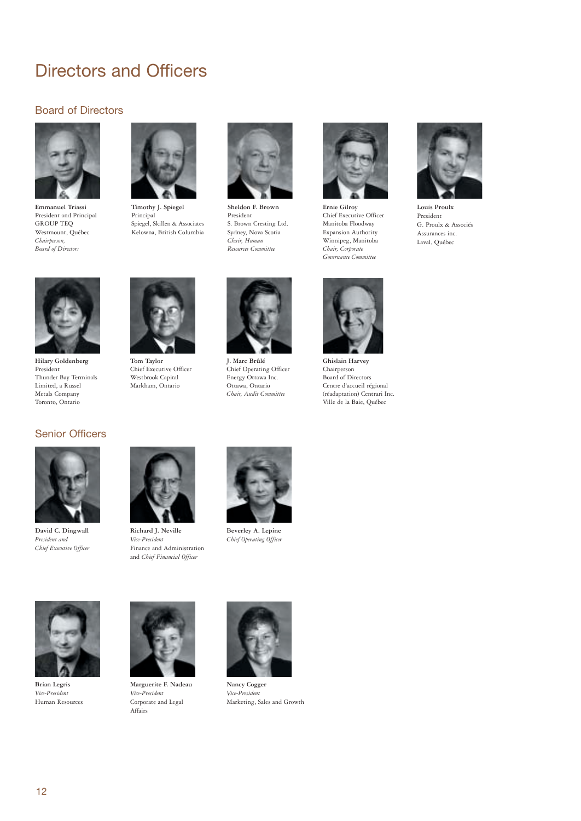# Directors and Officers

# Board of Directors



**Emmanuel Triassi**  President and Principal GROUP TEQ Westmount, Québec *Chairperson, Board of Directors*



**Timothy J. Spiegel**  Principal Spiegel, Skillen & Associates Kelowna, British Columbia



**Sheldon F. Brown**  President S. Brown Cresting Ltd. Sydney, Nova Scotia *Chair, Human Resources Committee* 



**Ernie Gilroy**  Chief Executive Officer Manitoba Floodway Expansion Authority Winnipeg, Manitoba *Chair, Corporate Governance Committee*



**Louis Proulx** President G. Proulx & Associés Assurances inc. Laval, Québec



**Hilary Goldenberg** President Thunder Bay Terminals Limited, a Russel Metals Company Toronto, Ontario

**Tom Taylor** Chief Executive Officer Westbrook Capital Markham, Ontario



**J. Marc Brûlé** Chief Operating Officer Energy Ottawa Inc. Ottawa, Ontario *Chair, Audit Committee*



**Ghislain Harvey** Chairperson Board of Directors Centre d'accueil régional (réadaptation) Centrari Inc. Ville de la Baie, Québec

# Senior Officers



**David C. Dingwall** *President and Chief Executive Officer*



**Richard J. Neville** *Vice-President* Finance and Administration and *Chief Financial Officer*



**Beverley A. Lepine** *Chief Operating Officer*



**Brian Legris** *Vice-President* Human Resources



**Marguerite F. Nadeau** *Vice-President* Corporate and Legal Affairs



**Nancy Cogger** *Vice-President* Marketing, Sales and Growth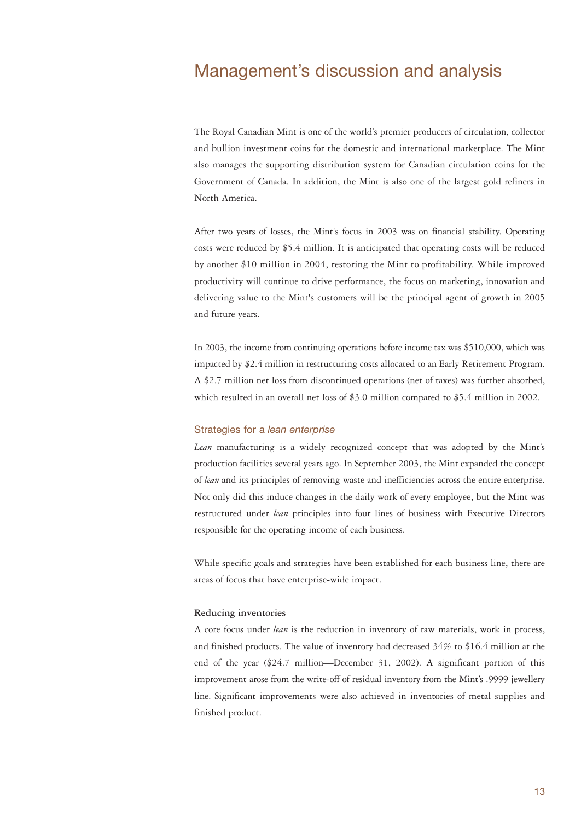# Management's discussion and analysis

The Royal Canadian Mint is one of the world's premier producers of circulation, collector and bullion investment coins for the domestic and international marketplace. The Mint also manages the supporting distribution system for Canadian circulation coins for the Government of Canada. In addition, the Mint is also one of the largest gold refiners in North America.

After two years of losses, the Mint's focus in 2003 was on financial stability. Operating costs were reduced by \$5.4 million. It is anticipated that operating costs will be reduced by another \$10 million in 2004, restoring the Mint to profitability. While improved productivity will continue to drive performance, the focus on marketing, innovation and delivering value to the Mint's customers will be the principal agent of growth in 2005 and future years.

In 2003, the income from continuing operations before income tax was \$510,000, which was impacted by \$2.4 million in restructuring costs allocated to an Early Retirement Program. A \$2.7 million net loss from discontinued operations (net of taxes) was further absorbed, which resulted in an overall net loss of \$3.0 million compared to \$5.4 million in 2002.

# Strategies for a *lean enterprise*

*Lean* manufacturing is a widely recognized concept that was adopted by the Mint's production facilities several years ago. In September 2003, the Mint expanded the concept of *lean* and its principles of removing waste and inefficiencies across the entire enterprise. Not only did this induce changes in the daily work of every employee, but the Mint was restructured under *lean* principles into four lines of business with Executive Directors responsible for the operating income of each business.

While specific goals and strategies have been established for each business line, there are areas of focus that have enterprise-wide impact.

# **Reducing inventories**

A core focus under *lean* is the reduction in inventory of raw materials, work in process, and finished products. The value of inventory had decreased 34% to \$16.4 million at the end of the year (\$24.7 million—December 31, 2002). A significant portion of this improvement arose from the write-off of residual inventory from the Mint's .9999 jewellery line. Significant improvements were also achieved in inventories of metal supplies and finished product.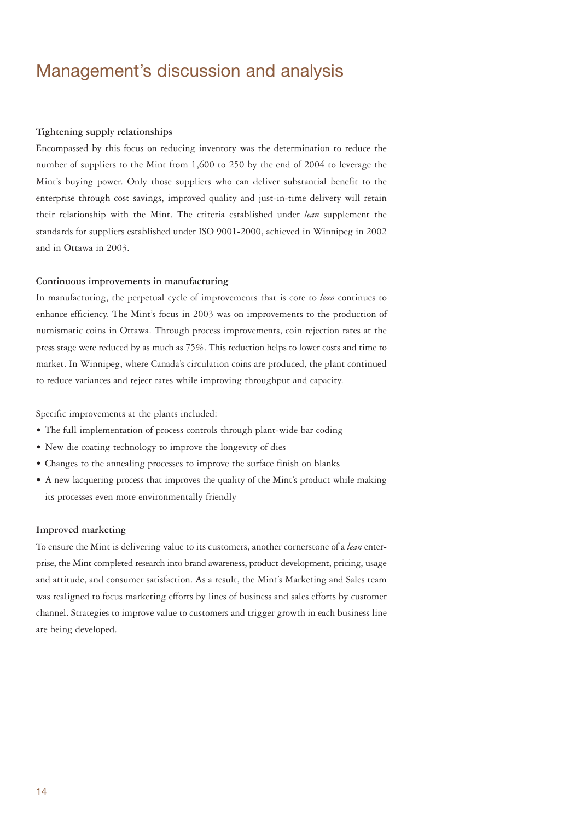# Management's discussion and analysis

# **Tightening supply relationships**

Encompassed by this focus on reducing inventory was the determination to reduce the number of suppliers to the Mint from 1,600 to 250 by the end of 2004 to leverage the Mint's buying power. Only those suppliers who can deliver substantial benefit to the enterprise through cost savings, improved quality and just-in-time delivery will retain their relationship with the Mint. The criteria established under *lean* supplement the standards for suppliers established under ISO 9001-2000, achieved in Winnipeg in 2002 and in Ottawa in 2003.

## **Continuous improvements in manufacturing**

In manufacturing, the perpetual cycle of improvements that is core to *lean* continues to enhance efficiency. The Mint's focus in 2003 was on improvements to the production of numismatic coins in Ottawa. Through process improvements, coin rejection rates at the press stage were reduced by as much as 75%. This reduction helps to lower costs and time to market. In Winnipeg, where Canada's circulation coins are produced, the plant continued to reduce variances and reject rates while improving throughput and capacity.

Specific improvements at the plants included:

- The full implementation of process controls through plant-wide bar coding
- New die coating technology to improve the longevity of dies
- Changes to the annealing processes to improve the surface finish on blanks
- A new lacquering process that improves the quality of the Mint's product while making its processes even more environmentally friendly

### **Improved marketing**

To ensure the Mint is delivering value to its customers, another cornerstone of a *lean* enterprise, the Mint completed research into brand awareness, product development, pricing, usage and attitude, and consumer satisfaction. As a result, the Mint's Marketing and Sales team was realigned to focus marketing efforts by lines of business and sales efforts by customer channel. Strategies to improve value to customers and trigger growth in each business line are being developed.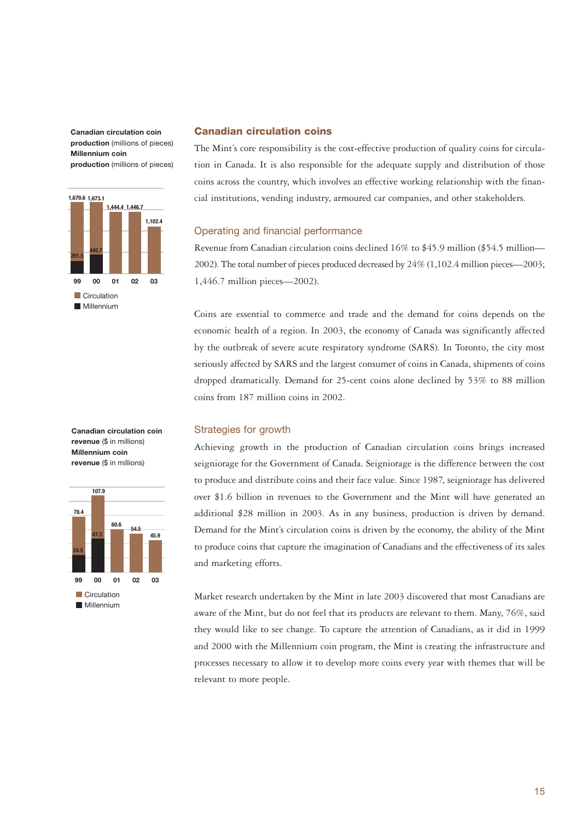**Canadian circulation coin production** (millions of pieces) **Millennium coin production** (millions of pieces)



## **Canadian circulation coins**

The Mint's core responsibility is the cost-effective production of quality coins for circulation in Canada. It is also responsible for the adequate supply and distribution of those coins across the country, which involves an effective working relationship with the financial institutions, vending industry, armoured car companies, and other stakeholders.

# Operating and financial performance

Revenue from Canadian circulation coins declined 16% to \$45.9 million (\$54.5 million— 2002). The total number of pieces produced decreased by 24% (1,102.4 million pieces—2003; 1,446.7 million pieces—2002).

Coins are essential to commerce and trade and the demand for coins depends on the economic health of a region. In 2003, the economy of Canada was significantly affected by the outbreak of severe acute respiratory syndrome (SARS). In Toronto, the city most seriously affected by SARS and the largest consumer of coins in Canada, shipments of coins dropped dramatically. Demand for 25-cent coins alone declined by 53% to 88 million coins from 187 million coins in 2002.

## Strategies for growth

Achieving growth in the production of Canadian circulation coins brings increased seigniorage for the Government of Canada. Seigniorage is the difference between the cost to produce and distribute coins and their face value. Since 1987, seigniorage has delivered over \$1.6 billion in revenues to the Government and the Mint will have generated an additional \$28 million in 2003. As in any business, production is driven by demand. Demand for the Mint's circulation coins is driven by the economy, the ability of the Mint to produce coins that capture the imagination of Canadians and the effectiveness of its sales and marketing efforts.

Market research undertaken by the Mint in late 2003 discovered that most Canadians are aware of the Mint, but do not feel that its products are relevant to them. Many, 76%, said they would like to see change. To capture the attention of Canadians, as it did in 1999 and 2000 with the Millennium coin program, the Mint is creating the infrastructure and processes necessary to allow it to develop more coins every year with themes that will be relevant to more people.

**Canadian circulation coin revenue** (\$ in millions) **Millennium coin revenue** (\$ in millions)

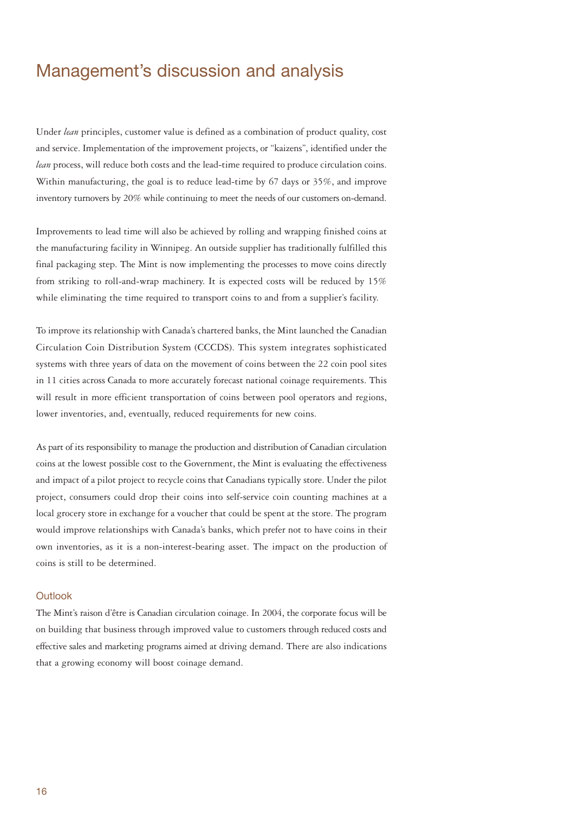# Management's discussion and analysis

Under *lean* principles, customer value is defined as a combination of product quality, cost and service. Implementation of the improvement projects, or "kaizens", identified under the *lean* process, will reduce both costs and the lead-time required to produce circulation coins. Within manufacturing, the goal is to reduce lead-time by 67 days or 35%, and improve inventory turnovers by 20% while continuing to meet the needs of our customers on-demand.

Improvements to lead time will also be achieved by rolling and wrapping finished coins at the manufacturing facility in Winnipeg. An outside supplier has traditionally fulfilled this final packaging step. The Mint is now implementing the processes to move coins directly from striking to roll-and-wrap machinery. It is expected costs will be reduced by 15% while eliminating the time required to transport coins to and from a supplier's facility.

To improve its relationship with Canada's chartered banks, the Mint launched the Canadian Circulation Coin Distribution System (CCCDS). This system integrates sophisticated systems with three years of data on the movement of coins between the 22 coin pool sites in 11 cities across Canada to more accurately forecast national coinage requirements. This will result in more efficient transportation of coins between pool operators and regions, lower inventories, and, eventually, reduced requirements for new coins.

As part of its responsibility to manage the production and distribution of Canadian circulation coins at the lowest possible cost to the Government, the Mint is evaluating the effectiveness and impact of a pilot project to recycle coins that Canadians typically store. Under the pilot project, consumers could drop their coins into self-service coin counting machines at a local grocery store in exchange for a voucher that could be spent at the store. The program would improve relationships with Canada's banks, which prefer not to have coins in their own inventories, as it is a non-interest-bearing asset. The impact on the production of coins is still to be determined.

# **Outlook**

The Mint's raison d'être is Canadian circulation coinage. In 2004, the corporate focus will be on building that business through improved value to customers through reduced costs and effective sales and marketing programs aimed at driving demand. There are also indications that a growing economy will boost coinage demand.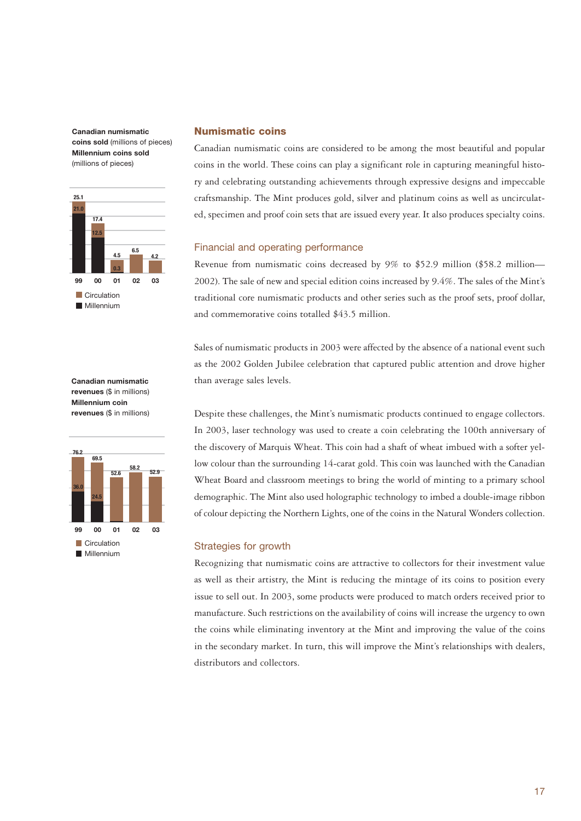**Canadian numismatic coins sold** (millions of pieces) **Millennium coins sold**  (millions of pieces)



### **Canadian numismatic revenues** (\$ in millions) **Millennium coin revenues** (\$ in millions)



# **Numismatic coins**

Canadian numismatic coins are considered to be among the most beautiful and popular coins in the world. These coins can play a significant role in capturing meaningful history and celebrating outstanding achievements through expressive designs and impeccable craftsmanship. The Mint produces gold, silver and platinum coins as well as uncirculated, specimen and proof coin sets that are issued every year. It also produces specialty coins.

# Financial and operating performance

Revenue from numismatic coins decreased by 9% to \$52.9 million (\$58.2 million— 2002). The sale of new and special edition coins increased by 9.4%. The sales of the Mint's traditional core numismatic products and other series such as the proof sets, proof dollar, and commemorative coins totalled \$43.5 million.

Sales of numismatic products in 2003 were affected by the absence of a national event such as the 2002 Golden Jubilee celebration that captured public attention and drove higher than average sales levels.

Despite these challenges, the Mint's numismatic products continued to engage collectors. In 2003, laser technology was used to create a coin celebrating the 100th anniversary of the discovery of Marquis Wheat. This coin had a shaft of wheat imbued with a softer yellow colour than the surrounding 14-carat gold. This coin was launched with the Canadian Wheat Board and classroom meetings to bring the world of minting to a primary school demographic. The Mint also used holographic technology to imbed a double-image ribbon of colour depicting the Northern Lights, one of the coins in the Natural Wonders collection.

### Strategies for growth

Recognizing that numismatic coins are attractive to collectors for their investment value as well as their artistry, the Mint is reducing the mintage of its coins to position every issue to sell out. In 2003, some products were produced to match orders received prior to manufacture. Such restrictions on the availability of coins will increase the urgency to own the coins while eliminating inventory at the Mint and improving the value of the coins in the secondary market. In turn, this will improve the Mint's relationships with dealers, distributors and collectors.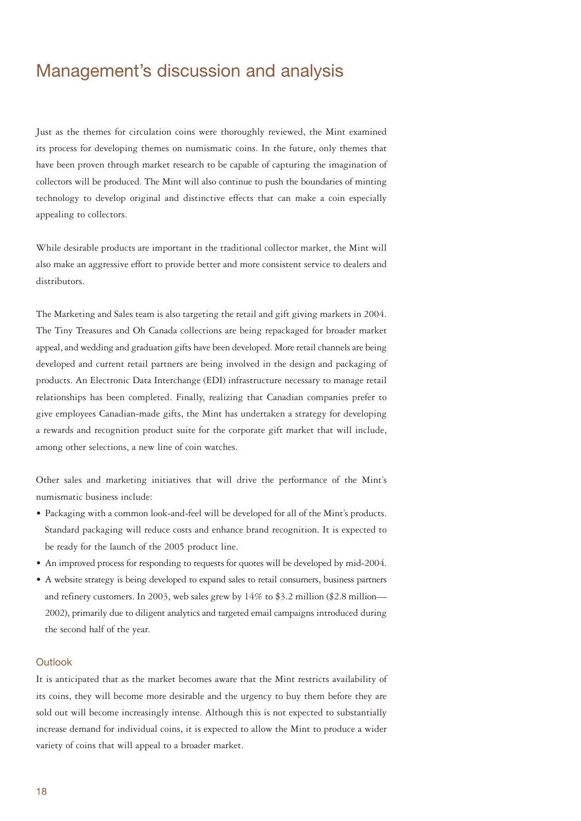# Management's discussion and analysis

Just as the themes for circulation coins were thoroughly reviewed, the Mint examined its process for developing themes on numismatic coins. In the future, only themes that have been proven through market research to be capable of capturing the imagination of collectors will be produced. The Mint will also continue to push the boundaries of minting technology to develop original and distinctive effects that can make a coin especially appealing to collectors.

While desirable products are important in the traditional collector market, the Mint will also make an aggressive effort to provide better and more consistent service to dealers and distributors.

The Marketing and Sales team is also targeting the retail and gift giving markets in 2004. The Tiny Treasures and Oh Canada collections are being repackaged for broader market appeal, and wedding and graduation gifts have been developed. More retail channels are being developed and current retail partners are being involved in the design and packaging of products. An Electronic Data Interchange (EDI) infrastructure necessary to manage retail relationships has been completed. Finally, realizing that Canadian companies prefer to give employees Canadian-made gifts, the Mint has undertaken a strategy for developing a rewards and recognition product suite for the corporate gift market that will include, among other selections, a new line of coin watches.

Other sales and marketing initiatives that will drive the performance of the Mint's numismatic business include:

- Packaging with a common look-and-feel will be developed for all of the Mint's products. Standard packaging will reduce costs and enhance brand recognition. It is expected to be ready for the launch of the 2005 product line.
- An improved process for responding to requests for quotes will be developed by mid-2004.
- A website strategy is being developed to expand sales to retail consumers, business partners and refinery customers. In 2003, web sales grew by  $14\%$  to \$3.2 million (\$2.8 million— 2002), primarily due to diligent analytics and targeted email campaigns introduced during the second half of the year.

# **Outlook**

It is anticipated that as the market becomes aware that the Mint restricts availability of its coins, they will become more desirable and the urgency to buy them before they are sold out will become increasingly intense. Although this is not expected to substantially increase demand for individual coins, it is expected to allow the Mint to produce a wider variety of coins that will appeal to a broader market.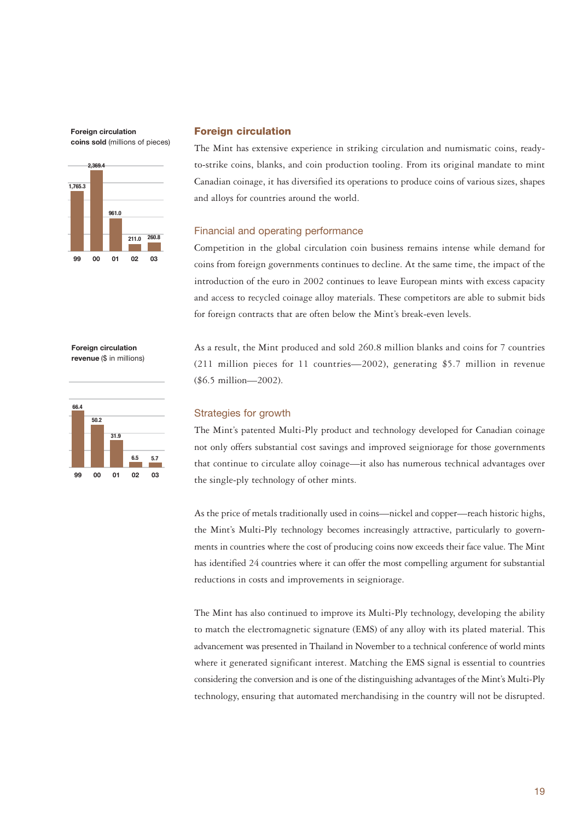**Foreign circulation coins sold** (millions of pieces)



## **Foreign circulation**

The Mint has extensive experience in striking circulation and numismatic coins, readyto-strike coins, blanks, and coin production tooling. From its original mandate to mint Canadian coinage, it has diversified its operations to produce coins of various sizes, shapes and alloys for countries around the world.

# Financial and operating performance

Competition in the global circulation coin business remains intense while demand for coins from foreign governments continues to decline. At the same time, the impact of the introduction of the euro in 2002 continues to leave European mints with excess capacity and access to recycled coinage alloy materials. These competitors are able to submit bids for foreign contracts that are often below the Mint's break-even levels.

As a result, the Mint produced and sold 260.8 million blanks and coins for 7 countries (211 million pieces for 11 countries—2002), generating \$5.7 million in revenue

**Foreign circulation revenue** (\$ in millions)



## Strategies for growth

(\$6.5 million—2002).

The Mint's patented Multi-Ply product and technology developed for Canadian coinage not only offers substantial cost savings and improved seigniorage for those governments that continue to circulate alloy coinage—it also has numerous technical advantages over the single-ply technology of other mints.

As the price of metals traditionally used in coins—nickel and copper—reach historic highs, the Mint's Multi-Ply technology becomes increasingly attractive, particularly to governments in countries where the cost of producing coins now exceeds their face value. The Mint has identified 24 countries where it can offer the most compelling argument for substantial reductions in costs and improvements in seigniorage.

The Mint has also continued to improve its Multi-Ply technology, developing the ability to match the electromagnetic signature (EMS) of any alloy with its plated material. This advancement was presented in Thailand in November to a technical conference of world mints where it generated significant interest. Matching the EMS signal is essential to countries considering the conversion and is one of the distinguishing advantages of the Mint's Multi-Ply technology, ensuring that automated merchandising in the country will not be disrupted.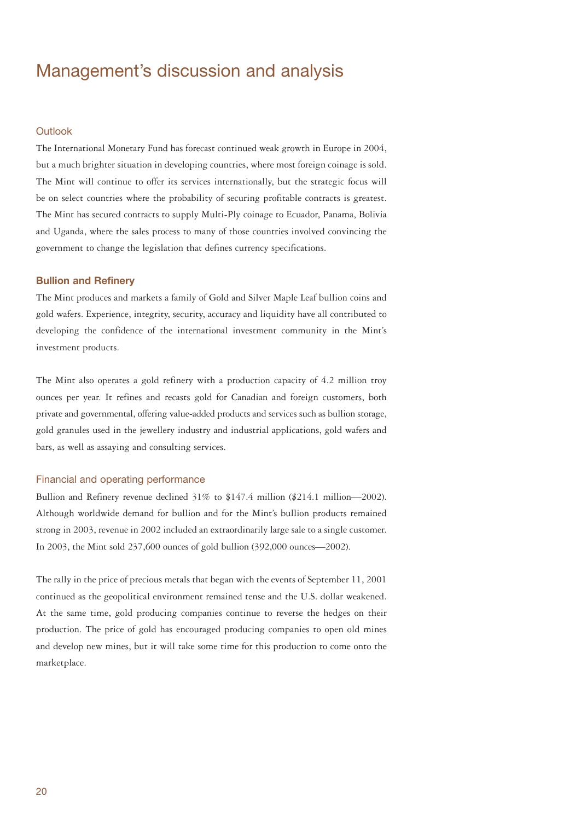# Management's discussion and analysis

## **Outlook**

The International Monetary Fund has forecast continued weak growth in Europe in 2004, but a much brighter situation in developing countries, where most foreign coinage is sold. The Mint will continue to offer its services internationally, but the strategic focus will be on select countries where the probability of securing profitable contracts is greatest. The Mint has secured contracts to supply Multi-Ply coinage to Ecuador, Panama, Bolivia and Uganda, where the sales process to many of those countries involved convincing the government to change the legislation that defines currency specifications.

### **Bullion and Refinery**

The Mint produces and markets a family of Gold and Silver Maple Leaf bullion coins and gold wafers. Experience, integrity, security, accuracy and liquidity have all contributed to developing the confidence of the international investment community in the Mint's investment products.

The Mint also operates a gold refinery with a production capacity of 4.2 million troy ounces per year. It refines and recasts gold for Canadian and foreign customers, both private and governmental, offering value-added products and services such as bullion storage, gold granules used in the jewellery industry and industrial applications, gold wafers and bars, as well as assaying and consulting services.

# Financial and operating performance

Bullion and Refinery revenue declined  $31\%$  to \$147.4 million (\$214.1 million—2002). Although worldwide demand for bullion and for the Mint's bullion products remained strong in 2003, revenue in 2002 included an extraordinarily large sale to a single customer. In 2003, the Mint sold 237,600 ounces of gold bullion (392,000 ounces—2002).

The rally in the price of precious metals that began with the events of September 11, 2001 continued as the geopolitical environment remained tense and the U.S. dollar weakened. At the same time, gold producing companies continue to reverse the hedges on their production. The price of gold has encouraged producing companies to open old mines and develop new mines, but it will take some time for this production to come onto the marketplace.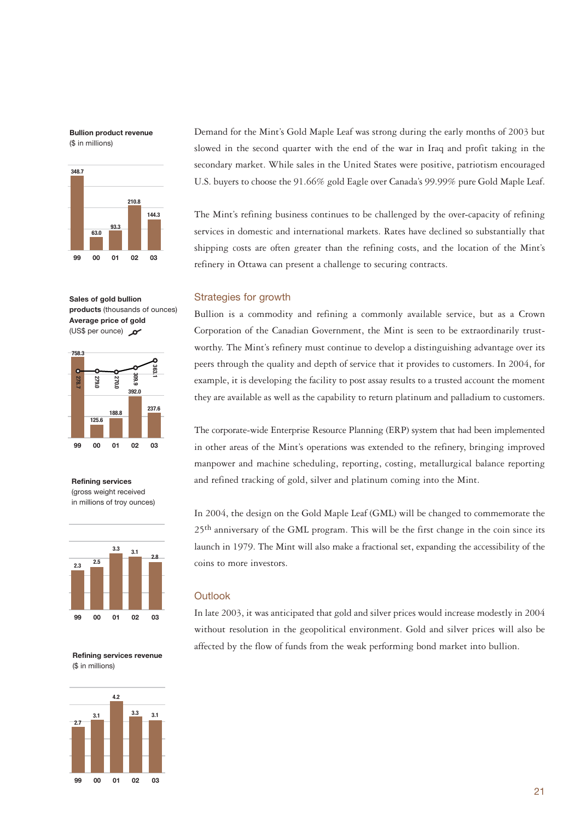**Bullion product revenue**  (\$ in millions)



**Sales of gold bullion products** (thousands of ounces) **Average price of gold** (US\$ per ounce) or



**Refining services**  (gross weight received in millions of troy ounces)



**Refining services revenue** (\$ in millions)



Demand for the Mint's Gold Maple Leaf was strong during the early months of 2003 but slowed in the second quarter with the end of the war in Iraq and profit taking in the secondary market. While sales in the United States were positive, patriotism encouraged U.S. buyers to choose the 91.66% gold Eagle over Canada's 99.99% pure Gold Maple Leaf.

The Mint's refining business continues to be challenged by the over-capacity of refining services in domestic and international markets. Rates have declined so substantially that shipping costs are often greater than the refining costs, and the location of the Mint's refinery in Ottawa can present a challenge to securing contracts.

### Strategies for growth

Bullion is a commodity and refining a commonly available service, but as a Crown Corporation of the Canadian Government, the Mint is seen to be extraordinarily trustworthy. The Mint's refinery must continue to develop a distinguishing advantage over its peers through the quality and depth of service that it provides to customers. In 2004, for example, it is developing the facility to post assay results to a trusted account the moment they are available as well as the capability to return platinum and palladium to customers.

The corporate-wide Enterprise Resource Planning (ERP) system that had been implemented in other areas of the Mint's operations was extended to the refinery, bringing improved manpower and machine scheduling, reporting, costing, metallurgical balance reporting and refined tracking of gold, silver and platinum coming into the Mint.

In 2004, the design on the Gold Maple Leaf (GML) will be changed to commemorate the 25<sup>th</sup> anniversary of the GML program. This will be the first change in the coin since its launch in 1979. The Mint will also make a fractional set, expanding the accessibility of the coins to more investors.

# **Outlook**

In late 2003, it was anticipated that gold and silver prices would increase modestly in 2004 without resolution in the geopolitical environment. Gold and silver prices will also be affected by the flow of funds from the weak performing bond market into bullion.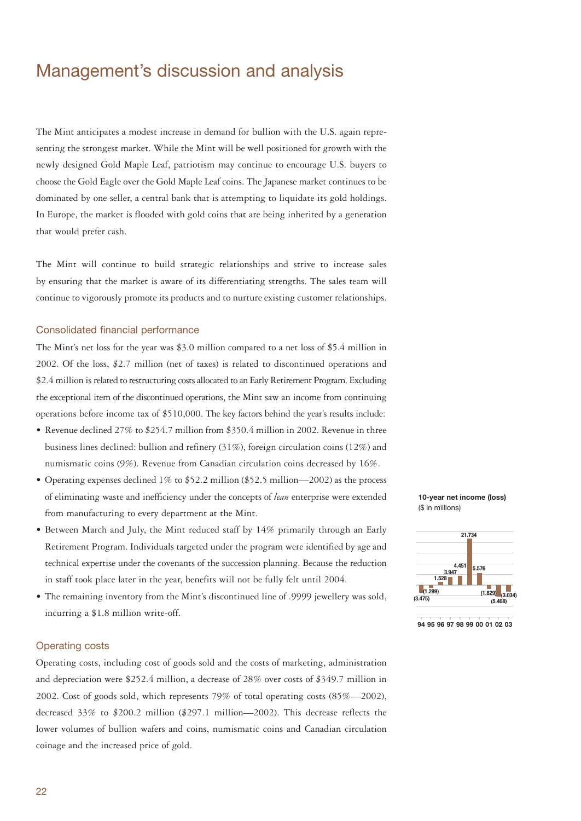# Management's discussion and analysis

The Mint anticipates a modest increase in demand for bullion with the U.S. again representing the strongest market. While the Mint will be well positioned for growth with the newly designed Gold Maple Leaf, patriotism may continue to encourage U.S. buyers to choose the Gold Eagle over the Gold Maple Leaf coins. The Japanese market continues to be dominated by one seller, a central bank that is attempting to liquidate its gold holdings. In Europe, the market is flooded with gold coins that are being inherited by a generation that would prefer cash.

The Mint will continue to build strategic relationships and strive to increase sales by ensuring that the market is aware of its differentiating strengths. The sales team will continue to vigorously promote its products and to nurture existing customer relationships.

## Consolidated financial performance

The Mint's net loss for the year was \$3.0 million compared to a net loss of \$5.4 million in 2002. Of the loss, \$2.7 million (net of taxes) is related to discontinued operations and \$2.4 million is related to restructuring costs allocated to an Early Retirement Program. Excluding the exceptional item of the discontinued operations, the Mint saw an income from continuing operations before income tax of \$510,000. The key factors behind the year's results include:

- Revenue declined 27% to \$254.7 million from \$350.4 million in 2002. Revenue in three business lines declined: bullion and refinery (31%), foreign circulation coins (12%) and numismatic coins (9%). Revenue from Canadian circulation coins decreased by 16%.
- Operating expenses declined  $1\%$  to \$52.2 million (\$52.5 million—2002) as the process of eliminating waste and inefficiency under the concepts of *lean* enterprise were extended from manufacturing to every department at the Mint.
- Between March and July, the Mint reduced staff by 14% primarily through an Early Retirement Program. Individuals targeted under the program were identified by age and technical expertise under the covenants of the succession planning. Because the reduction in staff took place later in the year, benefits will not be fully felt until 2004.
- The remaining inventory from the Mint's discontinued line of .9999 jewellery was sold, incurring a \$1.8 million write-off.

### Operating costs

Operating costs, including cost of goods sold and the costs of marketing, administration and depreciation were \$252.4 million, a decrease of 28% over costs of \$349.7 million in 2002. Cost of goods sold, which represents 79% of total operating costs (85%—2002), decreased 33% to \$200.2 million (\$297.1 million—2002). This decrease reflects the lower volumes of bullion wafers and coins, numismatic coins and Canadian circulation coinage and the increased price of gold.





**94 95 96 97 98 99 00 01 02 03**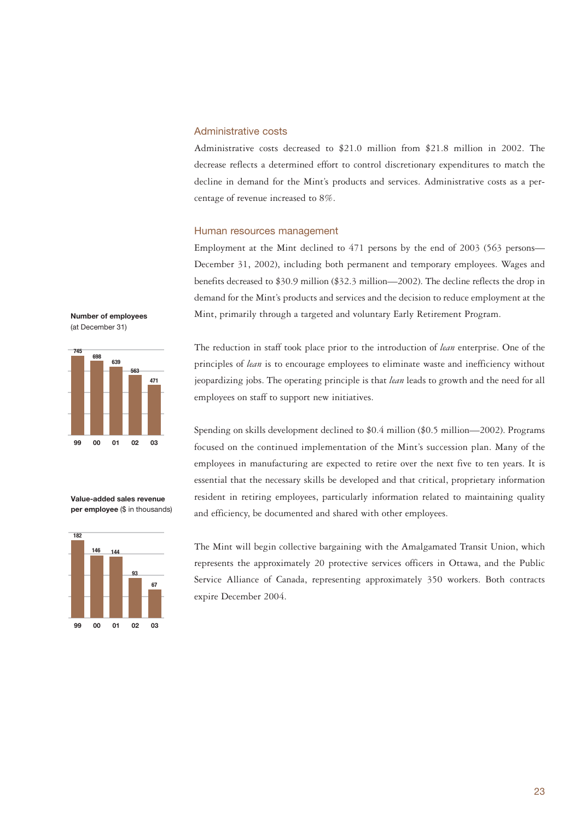# Administrative costs

Administrative costs decreased to \$21.0 million from \$21.8 million in 2002. The decrease reflects a determined effort to control discretionary expenditures to match the decline in demand for the Mint's products and services. Administrative costs as a percentage of revenue increased to 8%.

# Human resources management

Employment at the Mint declined to 471 persons by the end of 2003 (563 persons— December 31, 2002), including both permanent and temporary employees. Wages and benefits decreased to \$30.9 million (\$32.3 million—2002). The decline reflects the drop in demand for the Mint's products and services and the decision to reduce employment at the Mint, primarily through a targeted and voluntary Early Retirement Program.





Spending on skills development declined to \$0.4 million (\$0.5 million—2002). Programs focused on the continued implementation of the Mint's succession plan. Many of the employees in manufacturing are expected to retire over the next five to ten years. It is essential that the necessary skills be developed and that critical, proprietary information resident in retiring employees, particularly information related to maintaining quality and efficiency, be documented and shared with other employees.



**Value-added sales revenue per employee** (\$ in thousands)



The Mint will begin collective bargaining with the Amalgamated Transit Union, which represents the approximately 20 protective services officers in Ottawa, and the Public Service Alliance of Canada, representing approximately 350 workers. Both contracts expire December 2004.

The reduction in staff took place prior to the introduction of *lean* enterprise. One of the principles of *lean* is to encourage employees to eliminate waste and inefficiency without jeopardizing jobs. The operating principle is that *lean* leads to growth and the need for all employees on staff to support new initiatives.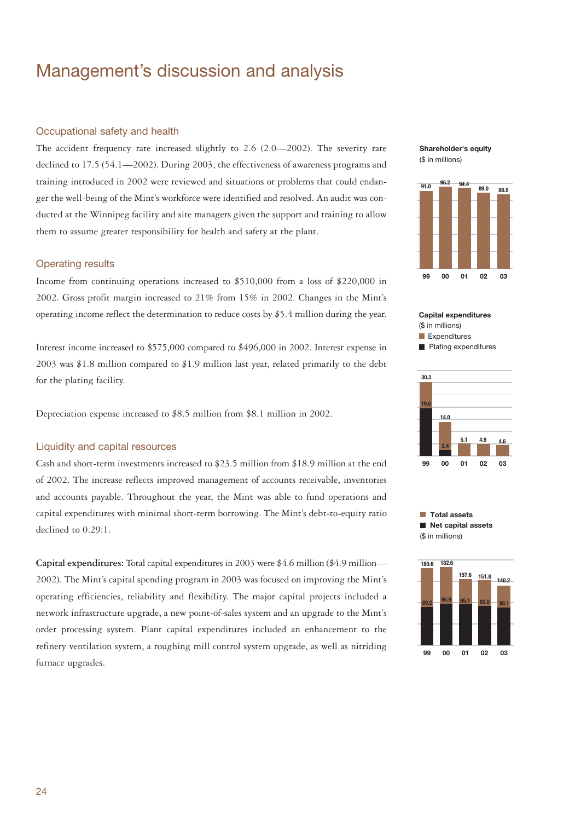# Management's discussion and analysis

## Occupational safety and health

The accident frequency rate increased slightly to 2.6 (2.0—2002). The severity rate declined to 17.5 (54.1—2002). During 2003, the effectiveness of awareness programs and training introduced in 2002 were reviewed and situations or problems that could endanger the well-being of the Mint's workforce were identified and resolved. An audit was conducted at the Winnipeg facility and site managers given the support and training to allow them to assume greater responsibility for health and safety at the plant.

### Operating results

Income from continuing operations increased to \$510,000 from a loss of \$220,000 in 2002. Gross profit margin increased to 21% from 15% in 2002. Changes in the Mint's operating income reflect the determination to reduce costs by \$5.4 million during the year.

Interest income increased to \$575,000 compared to \$496,000 in 2002. Interest expense in 2003 was \$1.8 million compared to \$1.9 million last year, related primarily to the debt for the plating facility.

Depreciation expense increased to \$8.5 million from \$8.1 million in 2002.

# Liquidity and capital resources

Cash and short-term investments increased to \$23.5 million from \$18.9 million at the end of 2002. The increase reflects improved management of accounts receivable, inventories and accounts payable. Throughout the year, the Mint was able to fund operations and capital expenditures with minimal short-term borrowing. The Mint's debt-to-equity ratio declined to 0.29:1.

**Capital expenditures:** Total capital expenditures in 2003 were \$4.6 million (\$4.9 million— 2002). The Mint's capital spending program in 2003 was focused on improving the Mint's operating efficiencies, reliability and flexibility. The major capital projects included a network infrastructure upgrade, a new point-of-sales system and an upgrade to the Mint's order processing system. Plant capital expenditures included an enhancement to the refinery ventilation system, a roughing mill control system upgrade, as well as nitriding furnace upgrades.





**Capital expenditures**  (\$ in millions)  $\blacksquare$  Expenditures **Plating expenditures** 





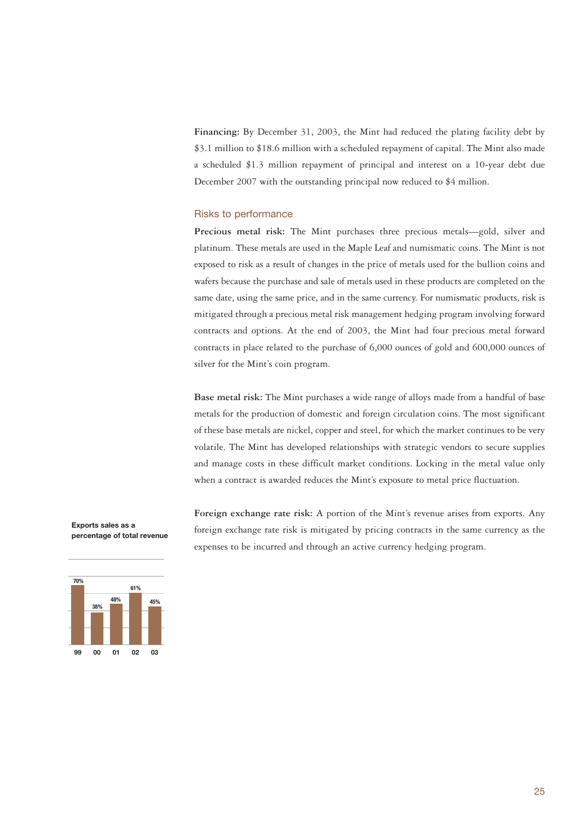**Financing:** By December 31, 2003, the Mint had reduced the plating facility debt by \$3.1 million to \$18.6 million with a scheduled repayment of capital. The Mint also made a scheduled \$1.3 million repayment of principal and interest on a 10-year debt due December 2007 with the outstanding principal now reduced to \$4 million.

# Risks to performance

**Precious metal risk:** The Mint purchases three precious metals—gold, silver and platinum. These metals are used in the Maple Leaf and numismatic coins. The Mint is not exposed to risk as a result of changes in the price of metals used for the bullion coins and wafers because the purchase and sale of metals used in these products are completed on the same date, using the same price, and in the same currency. For numismatic products, risk is mitigated through a precious metal risk management hedging program involving forward contracts and options. At the end of 2003, the Mint had four precious metal forward contracts in place related to the purchase of 6,000 ounces of gold and 600,000 ounces of silver for the Mint's coin program.

**Base metal risk:** The Mint purchases a wide range of alloys made from a handful of base metals for the production of domestic and foreign circulation coins. The most significant of these base metals are nickel, copper and steel, for which the market continues to be very volatile. The Mint has developed relationships with strategic vendors to secure supplies and manage costs in these difficult market conditions. Locking in the metal value only when a contract is awarded reduces the Mint's exposure to metal price fluctuation.

**Exports sales as a percentage of total revenue**



**Foreign exchange rate risk:** A portion of the Mint's revenue arises from exports. Any foreign exchange rate risk is mitigated by pricing contracts in the same currency as the expenses to be incurred and through an active currency hedging program.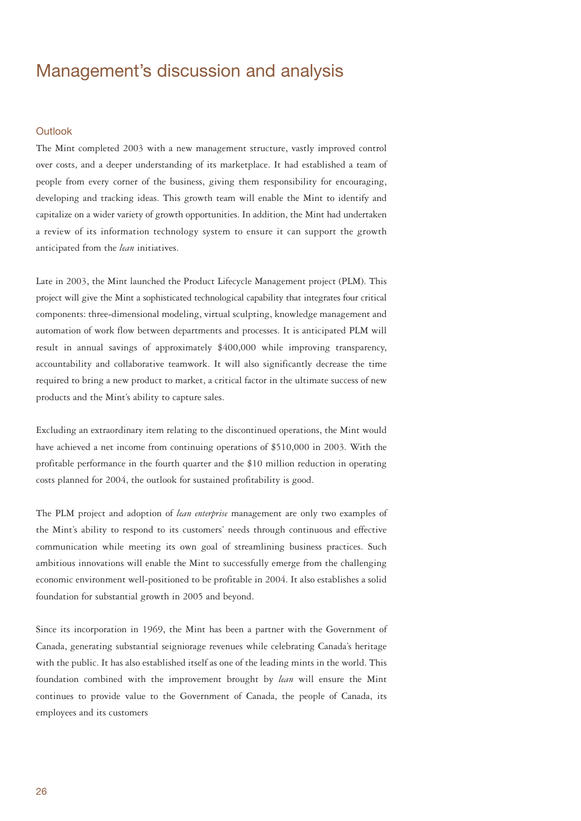# Management's discussion and analysis

# **Outlook**

The Mint completed 2003 with a new management structure, vastly improved control over costs, and a deeper understanding of its marketplace. It had established a team of people from every corner of the business, giving them responsibility for encouraging, developing and tracking ideas. This growth team will enable the Mint to identify and capitalize on a wider variety of growth opportunities. In addition, the Mint had undertaken a review of its information technology system to ensure it can support the growth anticipated from the *lean* initiatives.

Late in 2003, the Mint launched the Product Lifecycle Management project (PLM). This project will give the Mint a sophisticated technological capability that integrates four critical components: three-dimensional modeling, virtual sculpting, knowledge management and automation of work flow between departments and processes. It is anticipated PLM will result in annual savings of approximately \$400,000 while improving transparency, accountability and collaborative teamwork. It will also significantly decrease the time required to bring a new product to market, a critical factor in the ultimate success of new products and the Mint's ability to capture sales.

Excluding an extraordinary item relating to the discontinued operations, the Mint would have achieved a net income from continuing operations of \$510,000 in 2003. With the profitable performance in the fourth quarter and the \$10 million reduction in operating costs planned for 2004, the outlook for sustained profitability is good.

The PLM project and adoption of *lean enterprise* management are only two examples of the Mint's ability to respond to its customers' needs through continuous and effective communication while meeting its own goal of streamlining business practices. Such ambitious innovations will enable the Mint to successfully emerge from the challenging economic environment well-positioned to be profitable in 2004. It also establishes a solid foundation for substantial growth in 2005 and beyond.

Since its incorporation in 1969, the Mint has been a partner with the Government of Canada, generating substantial seigniorage revenues while celebrating Canada's heritage with the public. It has also established itself as one of the leading mints in the world. This foundation combined with the improvement brought by *lean* will ensure the Mint continues to provide value to the Government of Canada, the people of Canada, its employees and its customers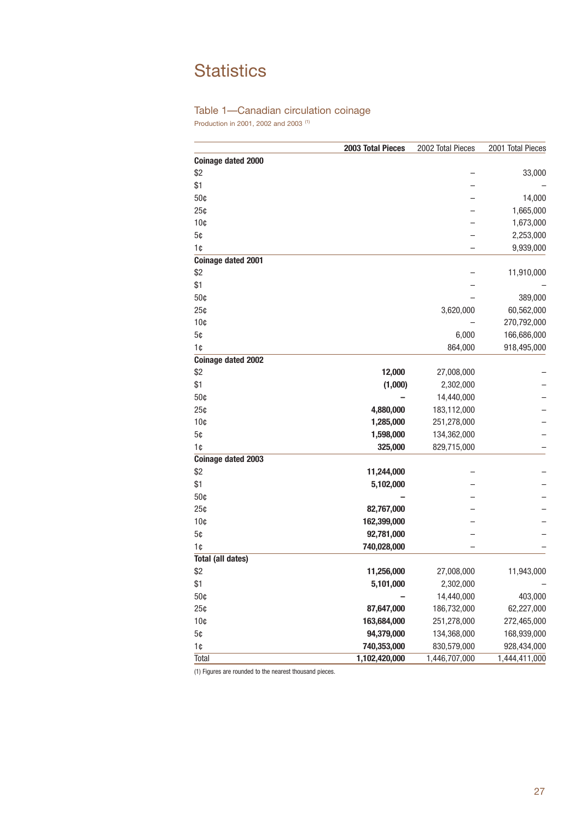# **Statistics**

# Table 1—Canadian circulation coinage

Production in 2001, 2002 and 2003 (1)

|                           | 2003 Total Pieces | 2002 Total Pieces | 2001 Total Pieces |
|---------------------------|-------------------|-------------------|-------------------|
| <b>Coinage dated 2000</b> |                   |                   |                   |
| \$2                       |                   |                   | 33,000            |
| \$1                       |                   |                   |                   |
| 50¢                       |                   |                   | 14,000            |
| 25¢                       |                   |                   | 1,665,000         |
| 10 <sub>c</sub>           |                   |                   | 1,673,000         |
| 5¢                        |                   |                   | 2,253,000         |
| 1 <sub>0</sub>            |                   |                   | 9,939,000         |
| <b>Coinage dated 2001</b> |                   |                   |                   |
| \$2                       |                   |                   | 11,910,000        |
| \$1                       |                   |                   |                   |
| 50¢                       |                   |                   | 389,000           |
| 25¢                       |                   | 3,620,000         | 60,562,000        |
| 10 <sub>c</sub>           |                   |                   | 270,792,000       |
| 5¢                        |                   | 6,000             | 166,686,000       |
| 1¢                        |                   | 864,000           | 918,495,000       |
| <b>Coinage dated 2002</b> |                   |                   |                   |
| \$2                       | 12,000            | 27,008,000        |                   |
| \$1                       | (1,000)           | 2,302,000         |                   |
| 50¢                       |                   | 14,440,000        |                   |
| 25¢                       | 4,880,000         | 183,112,000       |                   |
| 10 <sub>c</sub>           | 1,285,000         | 251,278,000       |                   |
| 5¢                        | 1,598,000         | 134,362,000       |                   |
| 1¢                        | 325,000           | 829,715,000       |                   |
| Coinage dated 2003        |                   |                   |                   |
| \$2                       | 11,244,000        |                   |                   |
| \$1                       | 5,102,000         |                   |                   |
| 50¢                       |                   |                   |                   |
| 25¢                       | 82,767,000        |                   |                   |
| 10 <sub>c</sub>           | 162,399,000       |                   |                   |
| 5¢                        | 92,781,000        |                   |                   |
| 1¢                        | 740,028,000       |                   |                   |
| <b>Total (all dates)</b>  |                   |                   |                   |
| \$2                       | 11,256,000        | 27,008,000        | 11,943,000        |
| \$1                       | 5,101,000         | 2,302,000         |                   |
| 50¢                       |                   | 14,440,000        | 403,000           |
| 25¢                       | 87,647,000        | 186,732,000       | 62,227,000        |
| 10 <sub>c</sub>           | 163,684,000       | 251,278,000       | 272,465,000       |
| 5¢                        | 94,379,000        | 134,368,000       | 168,939,000       |
| 1¢                        | 740,353,000       | 830,579,000       | 928,434,000       |
| Total                     | 1,102,420,000     | 1,446,707,000     | 1,444,411,000     |

(1) Figures are rounded to the nearest thousand pieces.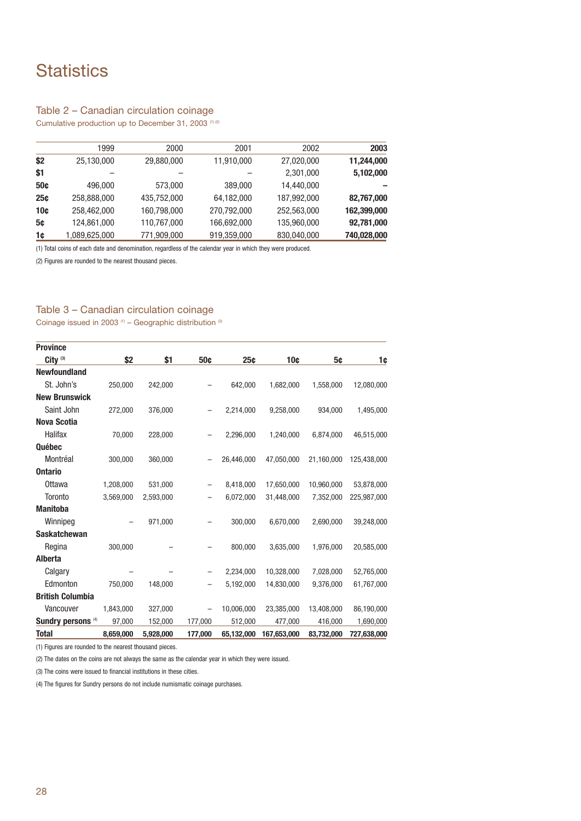# **Statistics**

# Table 2 – Canadian circulation coinage

Cumulative production up to December 31, 2003 (1) (2)

| 2003        | 2002        | 2001        | 2000        | 1999          |     |
|-------------|-------------|-------------|-------------|---------------|-----|
| 11,244,000  | 27,020,000  | 11,910,000  | 29,880,000  | 25,130,000    | \$2 |
| 5,102,000   | 2,301,000   |             |             |               | \$1 |
|             | 14,440,000  | 389,000     | 573,000     | 496,000       | 50c |
| 82,767,000  | 187,992,000 | 64,182,000  | 435,752,000 | 258,888,000   | 25c |
| 162,399,000 | 252,563,000 | 270,792,000 | 160,798,000 | 258,462,000   | 10¢ |
| 92,781,000  | 135,960,000 | 166,692,000 | 110,767,000 | 124,861,000   | 5¢  |
| 740,028,000 | 830,040,000 | 919,359,000 | 771,909,000 | 1,089,625,000 | 1¢  |

(1) Total coins of each date and denomination, regardless of the calendar year in which they were produced.

(2) Figures are rounded to the nearest thousand pieces.

# Table 3 – Canadian circulation coinage

Coinage issued in 2003  $(1)$  – Geographic distribution  $(2)$ 

| <b>Province</b>               |           |           |         |            |             |            |             |
|-------------------------------|-----------|-----------|---------|------------|-------------|------------|-------------|
| City <sup>(3)</sup>           | \$2       | \$1       | 50¢     | 25c        | 10¢         | 5¢         | 1¢          |
| <b>Newfoundland</b>           |           |           |         |            |             |            |             |
| St. John's                    | 250,000   | 242,000   |         | 642,000    | 1,682,000   | 1,558,000  | 12,080,000  |
| <b>New Brunswick</b>          |           |           |         |            |             |            |             |
| Saint John                    | 272,000   | 376,000   |         | 2,214,000  | 9,258,000   | 934,000    | 1,495,000   |
| <b>Nova Scotia</b>            |           |           |         |            |             |            |             |
| Halifax                       | 70,000    | 228,000   |         | 2,296,000  | 1,240,000   | 6,874,000  | 46,515,000  |
| Québec                        |           |           |         |            |             |            |             |
| Montréal                      | 300,000   | 360,000   |         | 26,446,000 | 47,050,000  | 21,160,000 | 125,438,000 |
| <b>Ontario</b>                |           |           |         |            |             |            |             |
| <b>Ottawa</b>                 | 1,208,000 | 531,000   |         | 8,418,000  | 17,650,000  | 10,960,000 | 53,878,000  |
| <b>Toronto</b>                | 3,569,000 | 2,593,000 |         | 6,072,000  | 31,448,000  | 7,352,000  | 225,987,000 |
| <b>Manitoba</b>               |           |           |         |            |             |            |             |
| Winnipeg                      |           | 971,000   |         | 300,000    | 6,670,000   | 2,690,000  | 39,248,000  |
| <b>Saskatchewan</b>           |           |           |         |            |             |            |             |
| Regina                        | 300,000   |           |         | 800,000    | 3,635,000   | 1,976,000  | 20,585,000  |
| <b>Alberta</b>                |           |           |         |            |             |            |             |
| Calgary                       |           |           |         | 2,234,000  | 10,328,000  | 7,028,000  | 52,765,000  |
| Edmonton                      | 750,000   | 148,000   |         | 5,192,000  | 14,830,000  | 9,376,000  | 61,767,000  |
| <b>British Columbia</b>       |           |           |         |            |             |            |             |
| Vancouver                     | 1,843,000 | 327,000   | -       | 10,006,000 | 23,385,000  | 13,408,000 | 86,190,000  |
| Sundry persons <sup>(4)</sup> | 97,000    | 152,000   | 177,000 | 512,000    | 477,000     | 416,000    | 1,690,000   |
| <b>Total</b>                  | 8,659,000 | 5,928,000 | 177,000 | 65,132,000 | 167,653,000 | 83,732,000 | 727,638,000 |

(1) Figures are rounded to the nearest thousand pieces.

(2) The dates on the coins are not always the same as the calendar year in which they were issued.

(3) The coins were issued to financial institutions in these cities.

(4) The figures for Sundry persons do not include numismatic coinage purchases.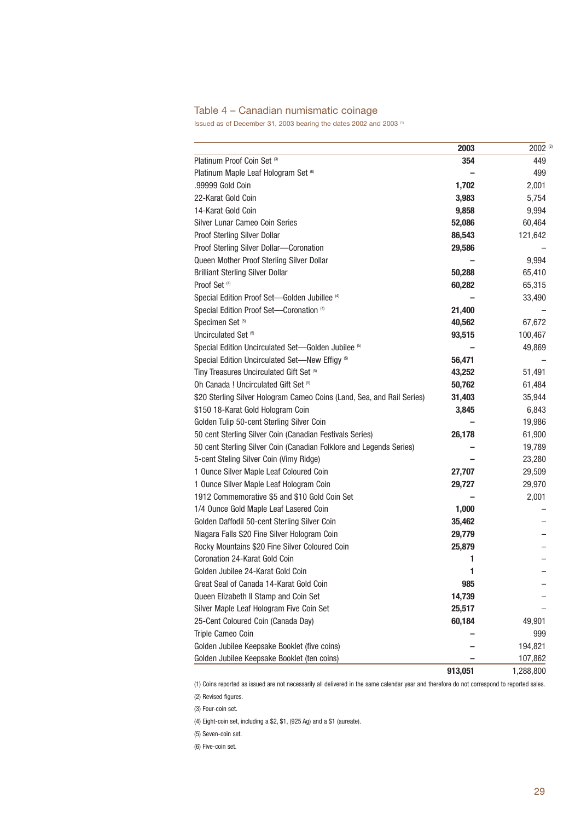# Table 4 – Canadian numismatic coinage

Issued as of December 31, 2003 bearing the dates 2002 and 2003 (1)

|                                                                        | 2003    | 2002 (2)  |
|------------------------------------------------------------------------|---------|-----------|
| Platinum Proof Coin Set (3)                                            | 354     | 449       |
| Platinum Maple Leaf Hologram Set (6)                                   |         | 499       |
| .99999 Gold Coin                                                       | 1,702   | 2,001     |
| 22-Karat Gold Coin                                                     | 3,983   | 5,754     |
| 14-Karat Gold Coin                                                     | 9,858   | 9,994     |
| Silver Lunar Cameo Coin Series                                         | 52,086  | 60,464    |
| Proof Sterling Silver Dollar                                           | 86,543  | 121,642   |
| Proof Sterling Silver Dollar-Coronation                                | 29,586  |           |
| Queen Mother Proof Sterling Silver Dollar                              |         | 9,994     |
| <b>Brilliant Sterling Silver Dollar</b>                                | 50,288  | 65,410    |
| Proof Set <sup>(4)</sup>                                               | 60,282  | 65,315    |
| Special Edition Proof Set-Golden Jubillee <sup>(4)</sup>               |         | 33,490    |
| Special Edition Proof Set-Coronation (4)                               | 21,400  |           |
| Specimen Set <sup>(5)</sup>                                            | 40,562  | 67,672    |
| Uncirculated Set <sup>(5)</sup>                                        | 93,515  | 100,467   |
| Special Edition Uncirculated Set-Golden Jubilee (5)                    |         | 49,869    |
| Special Edition Uncirculated Set-New Effigy (5)                        | 56,471  |           |
| Tiny Treasures Uncirculated Gift Set (5)                               | 43,252  | 51,491    |
| Oh Canada ! Uncirculated Gift Set (5)                                  | 50,762  | 61,484    |
| \$20 Sterling Silver Hologram Cameo Coins (Land, Sea, and Rail Series) | 31,403  | 35,944    |
| \$150 18-Karat Gold Hologram Coin                                      | 3,845   | 6,843     |
| Golden Tulip 50-cent Sterling Silver Coin                              |         | 19,986    |
| 50 cent Sterling Silver Coin (Canadian Festivals Series)               | 26,178  | 61,900    |
| 50 cent Sterling Silver Coin (Canadian Folklore and Legends Series)    |         | 19,789    |
| 5-cent Steling Silver Coin (Vimy Ridge)                                |         | 23,280    |
| 1 Ounce Silver Maple Leaf Coloured Coin                                | 27,707  | 29,509    |
| 1 Ounce Silver Maple Leaf Hologram Coin                                | 29,727  | 29,970    |
| 1912 Commemorative \$5 and \$10 Gold Coin Set                          |         | 2,001     |
| 1/4 Ounce Gold Maple Leaf Lasered Coin                                 | 1,000   |           |
| Golden Daffodil 50-cent Sterling Silver Coin                           | 35,462  |           |
| Niagara Falls \$20 Fine Silver Hologram Coin                           | 29,779  |           |
| Rocky Mountains \$20 Fine Silver Coloured Coin                         | 25,879  |           |
| Coronation 24-Karat Gold Coin                                          | 1       |           |
| Golden Jubilee 24-Karat Gold Coin                                      | 1       |           |
| Great Seal of Canada 14-Karat Gold Coin                                | ყგე     |           |
| Queen Elizabeth II Stamp and Coin Set                                  | 14,739  |           |
| Silver Maple Leaf Hologram Five Coin Set                               | 25,517  |           |
| 25-Cent Coloured Coin (Canada Day)                                     | 60,184  | 49,901    |
| Triple Cameo Coin                                                      |         | 999       |
| Golden Jubilee Keepsake Booklet (five coins)                           |         | 194,821   |
| Golden Jubilee Keepsake Booklet (ten coins)                            |         | 107,862   |
|                                                                        | 913,051 | 1,288,800 |

(1) Coins reported as issued are not necessarily all delivered in the same calendar year and therefore do not correspond to reported sales. (2) Revised figures.

(3) Four-coin set.

(4) Eight-coin set, including a \$2, \$1, (925 Ag) and a \$1 (aureate).

(5) Seven-coin set.

(6) Five-coin set.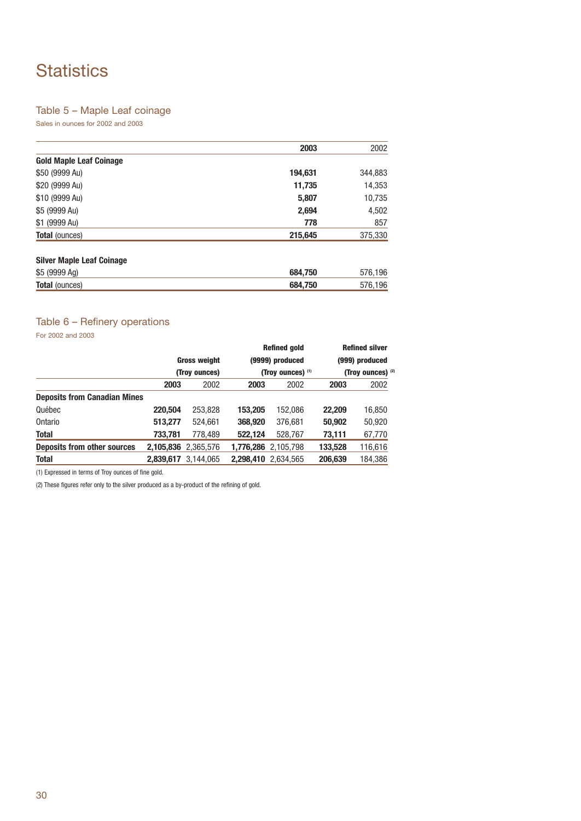# **Statistics**

# Table 5 – Maple Leaf coinage

Sales in ounces for 2002 and 2003

|                                | 2003    | 2002    |
|--------------------------------|---------|---------|
| <b>Gold Maple Leaf Coinage</b> |         |         |
| \$50 (9999 Au)                 | 194,631 | 344,883 |
| \$20 (9999 Au)                 | 11,735  | 14,353  |
| \$10 (9999 Au)                 | 5,807   | 10,735  |
| \$5 (9999 Au)                  | 2,694   | 4,502   |
| \$1 (9999 Au)                  | 778     | 857     |
| <b>Total (ounces)</b>          | 215,645 | 375,330 |

# **Silver Maple Leaf Coinage**

| \$5          | .750<br>684        | $\sim$ |
|--------------|--------------------|--------|
| <b>Total</b> | .750<br><b>GRA</b> |        |

# Table 6 – Refinery operations

For 2002 and 2003

|                                     |                                      |                     |                                      | <b>Refined gold</b> |                                     | <b>Refined silver</b> |
|-------------------------------------|--------------------------------------|---------------------|--------------------------------------|---------------------|-------------------------------------|-----------------------|
|                                     | <b>Gross weight</b><br>(Troy ounces) |                     | (9999) produced<br>(Troy ounces) (1) |                     | (999) produced<br>(Troy ounces) (2) |                       |
|                                     |                                      |                     |                                      |                     |                                     |                       |
|                                     | 2003                                 | 2002                | 2003                                 | 2002                | 2003                                | 2002                  |
| <b>Deposits from Canadian Mines</b> |                                      |                     |                                      |                     |                                     |                       |
| Québec                              | 220,504                              | 253,828             | 153.205                              | 152.086             | 22,209                              | 16,850                |
| Ontario                             | 513,277                              | 524.661             | 368,920                              | 376.681             | 50,902                              | 50,920                |
| <b>Total</b>                        | 733,781                              | 778.489             | 522,124                              | 528.767             | 73,111                              | 67,770                |
| Deposits from other sources         |                                      | 2,105,836 2,365,576 |                                      | 1,776,286 2,105,798 | 133,528                             | 116,616               |
| <b>Total</b>                        | 2.839.617                            | 3.144.065           |                                      | 2.298.410 2.634.565 | 206.639                             | 184,386               |

(1) Expressed in terms of Troy ounces of fine gold.

(2) These figures refer only to the silver produced as a by-product of the refining of gold.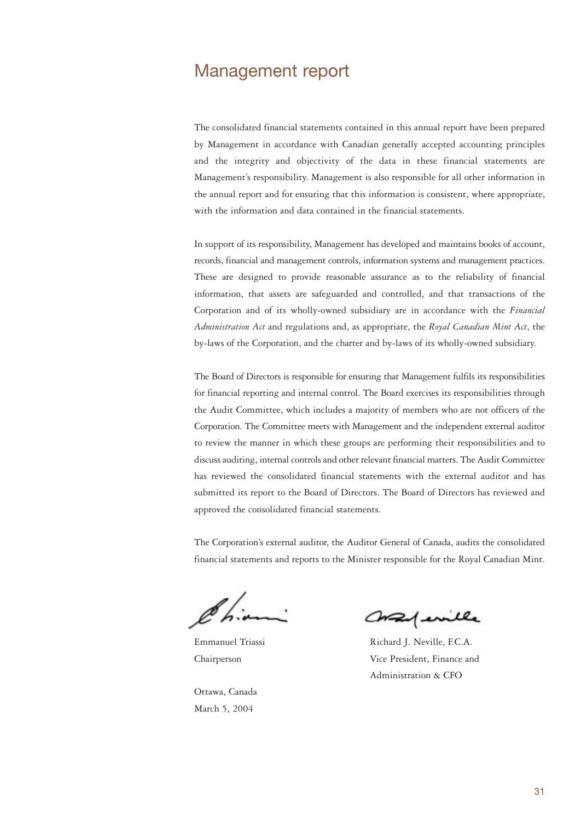# Management report

The consolidated financial statements contained in this annual report have been prepared by Management in accordance with Canadian generally accepted accounting principles and the integrity and objectivity of the data in these financial statements are Management's responsibility. Management is also responsible for all other information in the annual report and for ensuring that this information is consistent, where appropriate, with the information and data contained in the financial statements.

In support of its responsibility, Management has developed and maintains books of account, records, financial and management controls, information systems and management practices. These are designed to provide reasonable assurance as to the reliability of financial information, that assets are safeguarded and controlled, and that transactions of the Corporation and of its wholly-owned subsidiary are in accordance with the *Financial Administration Act* and regulations and, as appropriate, the *Royal Canadian Mint Act*, the by-laws of the Corporation, and the charter and by-laws of its wholly-owned subsidiary.

The Board of Directors is responsible for ensuring that Management fulfils its responsibilities for financial reporting and internal control. The Board exercises its responsibilities through the Audit Committee, which includes a majority of members who are not officers of the Corporation. The Committee meets with Management and the independent external auditor to review the manner in which these groups are performing their responsibilities and to discuss auditing, internal controls and other relevant financial matters. The Audit Committee has reviewed the consolidated financial statements with the external auditor and has submitted its report to the Board of Directors. The Board of Directors has reviewed and approved the consolidated financial statements.

The Corporation's external auditor, the Auditor General of Canada, audits the consolidated financial statements and reports to the Minister responsible for the Royal Canadian Mint.

Ottawa, Canada March 5, 2004

Conferille

Emmanuel Triassi Richard J. Neville, F.C.A. Chairperson Vice President, Finance and Administration & CFO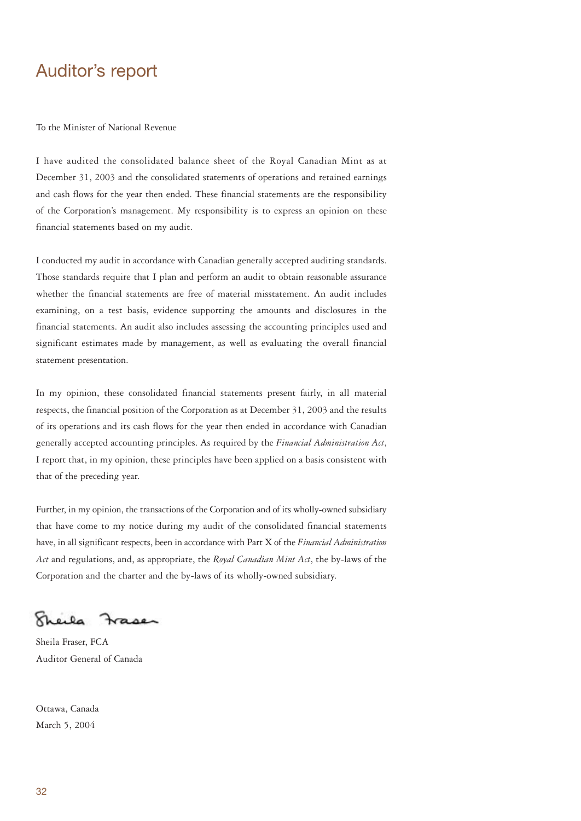# Auditor's report

To the Minister of National Revenue

I have audited the consolidated balance sheet of the Royal Canadian Mint as at December 31, 2003 and the consolidated statements of operations and retained earnings and cash flows for the year then ended. These financial statements are the responsibility of the Corporation's management. My responsibility is to express an opinion on these financial statements based on my audit.

I conducted my audit in accordance with Canadian generally accepted auditing standards. Those standards require that I plan and perform an audit to obtain reasonable assurance whether the financial statements are free of material misstatement. An audit includes examining, on a test basis, evidence supporting the amounts and disclosures in the financial statements. An audit also includes assessing the accounting principles used and significant estimates made by management, as well as evaluating the overall financial statement presentation.

In my opinion, these consolidated financial statements present fairly, in all material respects, the financial position of the Corporation as at December 31, 2003 and the results of its operations and its cash flows for the year then ended in accordance with Canadian generally accepted accounting principles. As required by the *Financial Administration Act*, I report that, in my opinion, these principles have been applied on a basis consistent with that of the preceding year.

Further, in my opinion, the transactions of the Corporation and of its wholly-owned subsidiary that have come to my notice during my audit of the consolidated financial statements have, in all significant respects, been in accordance with Part X of the *Financial Administration Act* and regulations, and, as appropriate, the *Royal Canadian Mint Act*, the by-laws of the Corporation and the charter and the by-laws of its wholly-owned subsidiary.

Kheila  $20.00$ 

Sheila Fraser, FCA Auditor General of Canada

Ottawa, Canada March 5, 2004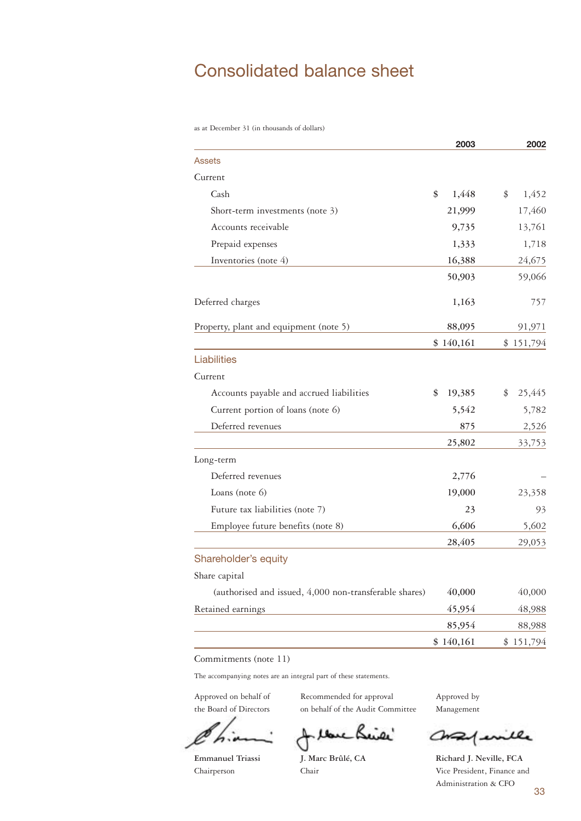# Consolidated balance sheet

as at December 31 (in thousands of dollars)

|                                                        | 2003         | 2002         |
|--------------------------------------------------------|--------------|--------------|
| <b>Assets</b>                                          |              |              |
| Current                                                |              |              |
| Cash                                                   | \$<br>1,448  | 1,452<br>\$  |
| Short-term investments (note 3)                        | 21,999       | 17,460       |
| Accounts receivable                                    | 9,735        | 13,761       |
| Prepaid expenses                                       | 1,333        | 1,718        |
| Inventories (note 4)                                   | 16,388       | 24,675       |
|                                                        | 50,903       | 59,066       |
| Deferred charges                                       | 1,163        | 757          |
| Property, plant and equipment (note 5)                 | 88,095       | 91,971       |
|                                                        | \$140,161    | \$151,794    |
| <b>Liabilities</b>                                     |              |              |
| Current                                                |              |              |
| Accounts payable and accrued liabilities               | \$<br>19,385 | 25,445<br>\$ |
| Current portion of loans (note 6)                      | 5,542        | 5,782        |
| Deferred revenues                                      | 875          | 2,526        |
|                                                        | 25,802       | 33,753       |
| Long-term                                              |              |              |
| Deferred revenues                                      | 2,776        |              |
| Loans (note 6)                                         | 19,000       | 23,358       |
| Future tax liabilities (note 7)                        | 23           | 93           |
| Employee future benefits (note 8)                      | 6,606        | 5,602        |
|                                                        | 28,405       | 29,053       |
| Shareholder's equity                                   |              |              |
| Share capital                                          |              |              |
| (authorised and issued, 4,000 non-transferable shares) | 40,000       | 40,000       |
| Retained earnings                                      | 45,954       | 48,988       |
|                                                        | 85,954       | 88,988       |
|                                                        | \$140,161    | \$151,794    |

Commitments (note 11)

The accompanying notes are an integral part of these statements.

Approved on behalf of Recommended for approval Approved by the Board of Directors on behalf of the Audit Committee Management

tone Beix' đ

Confinite

**Emmanuel Triassi J. Marc Brûlé, CA Richard J. Neville, FCA** Chairperson Chair Vice President, Finance and Administration & CFO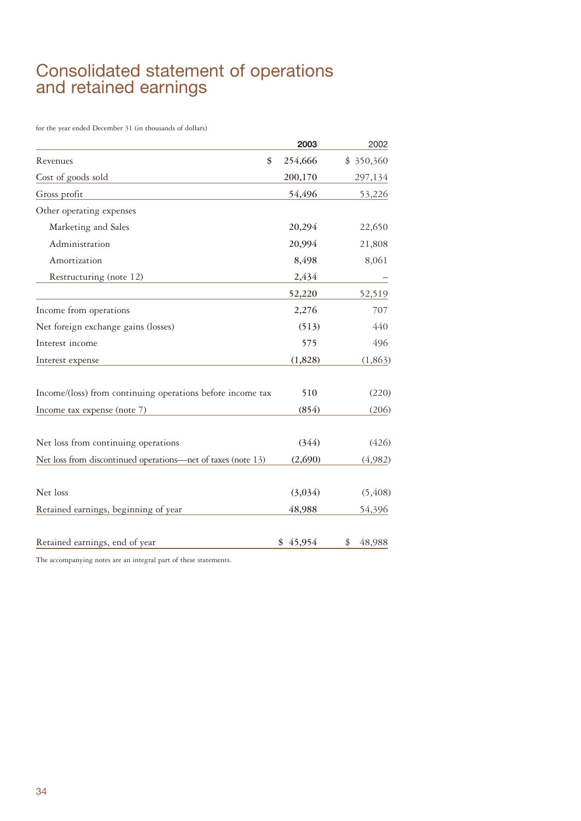# Consolidated statement of operations and retained earnings

for the year ended December 31 (in thousands of dollars)

|                                                              | 2003     | 2002         |
|--------------------------------------------------------------|----------|--------------|
| \$<br>Revenues                                               | 254,666  | \$350,360    |
| Cost of goods sold                                           | 200,170  | 297,134      |
| Gross profit                                                 | 54,496   | 53,226       |
| Other operating expenses                                     |          |              |
| Marketing and Sales                                          | 20,294   | 22,650       |
| Administration                                               | 20,994   | 21,808       |
| Amortization                                                 | 8,498    | 8,061        |
| Restructuring (note 12)                                      | 2,434    |              |
|                                                              | 52,220   | 52,519       |
| Income from operations                                       | 2,276    | 707          |
| Net foreign exchange gains (losses)                          | (513)    | 440          |
| Interest income                                              | 575      | 496          |
| Interest expense                                             | (1,828)  | (1,863)      |
| Income/(loss) from continuing operations before income tax   | 510      | (220)        |
| Income tax expense (note 7)                                  | (854)    | (206)        |
| Net loss from continuing operations                          | (344)    | (426)        |
| Net loss from discontinued operations—net of taxes (note 13) | (2,690)  | (4,982)      |
| Net loss                                                     | (3,034)  | (5, 408)     |
| Retained earnings, beginning of year                         | 48,988   | 54,396       |
| Retained earnings, end of year                               | \$45,954 | 48,988<br>\$ |

The accompanying notes are an integral part of these statements.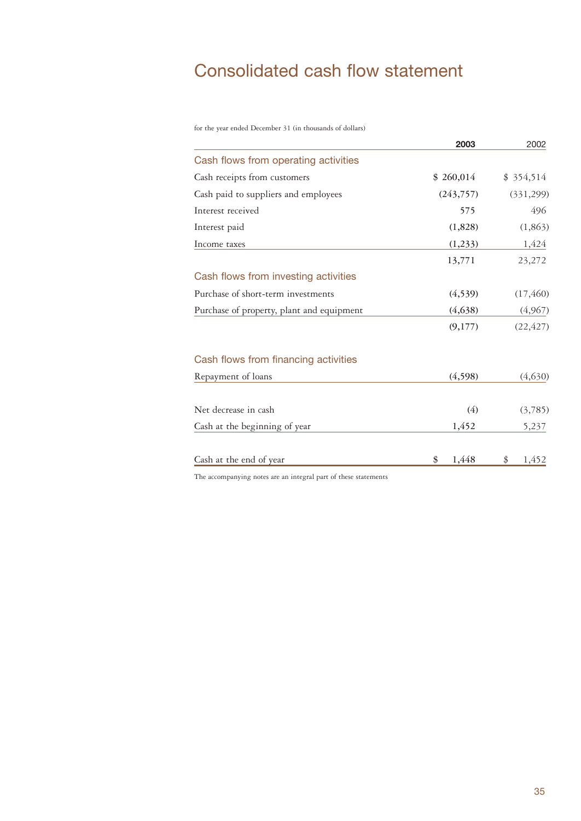# Consolidated cash flow statement

for the year ended December 31 (in thousands of dollars)

|                                                                                                                 | 2003        | 2002        |
|-----------------------------------------------------------------------------------------------------------------|-------------|-------------|
| Cash flows from operating activities                                                                            |             |             |
| Cash receipts from customers                                                                                    | \$260,014   | \$354,514   |
| Cash paid to suppliers and employees                                                                            | (243,757)   | (331, 299)  |
| Interest received                                                                                               | 575         | 496         |
| Interest paid                                                                                                   | (1,828)     | (1,863)     |
| Income taxes                                                                                                    | (1,233)     | 1,424       |
|                                                                                                                 | 13,771      | 23,272      |
| Cash flows from investing activities                                                                            |             |             |
| Purchase of short-term investments                                                                              | (4, 539)    | (17, 460)   |
| Purchase of property, plant and equipment                                                                       | (4,638)     | (4,967)     |
|                                                                                                                 | (9,177)     | (22, 427)   |
| Cash flows from financing activities                                                                            |             |             |
| Repayment of loans                                                                                              | (4,598)     | (4,630)     |
| Net decrease in cash                                                                                            | (4)         | (3,785)     |
| Cash at the beginning of year                                                                                   | 1,452       | 5,237       |
| Cash at the end of year                                                                                         | 1,448<br>\$ | \$<br>1,452 |
| the contract of the contract of the contract of the contract of the contract of the contract of the contract of |             |             |

The accompanying notes are an integral part of these statements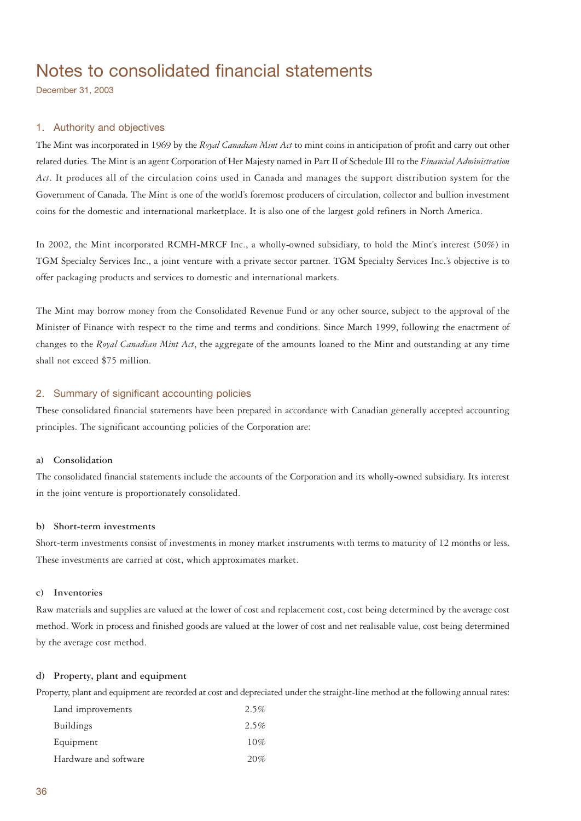# Notes to consolidated financial statements

December 31, 2003

# 1. Authority and objectives

The Mint was incorporated in 1969 by the *Royal Canadian Mint Act* to mint coins in anticipation of profit and carry out other related duties. The Mint is an agent Corporation of Her Majesty named in Part II of Schedule III to the *Financial Administration Act*. It produces all of the circulation coins used in Canada and manages the support distribution system for the Government of Canada. The Mint is one of the world's foremost producers of circulation, collector and bullion investment coins for the domestic and international marketplace. It is also one of the largest gold refiners in North America.

In 2002, the Mint incorporated RCMH-MRCF Inc., a wholly-owned subsidiary, to hold the Mint's interest (50%) in TGM Specialty Services Inc., a joint venture with a private sector partner. TGM Specialty Services Inc.'s objective is to offer packaging products and services to domestic and international markets.

The Mint may borrow money from the Consolidated Revenue Fund or any other source, subject to the approval of the Minister of Finance with respect to the time and terms and conditions. Since March 1999, following the enactment of changes to the *Royal Canadian Mint Act*, the aggregate of the amounts loaned to the Mint and outstanding at any time shall not exceed \$75 million.

# 2. Summary of significant accounting policies

These consolidated financial statements have been prepared in accordance with Canadian generally accepted accounting principles. The significant accounting policies of the Corporation are:

# **a) Consolidation**

The consolidated financial statements include the accounts of the Corporation and its wholly-owned subsidiary. Its interest in the joint venture is proportionately consolidated.

# **b) Short-term investments**

Short-term investments consist of investments in money market instruments with terms to maturity of 12 months or less. These investments are carried at cost, which approximates market.

### **c) Inventories**

Raw materials and supplies are valued at the lower of cost and replacement cost, cost being determined by the average cost method. Work in process and finished goods are valued at the lower of cost and net realisable value, cost being determined by the average cost method.

# **d) Property, plant and equipment**

Property, plant and equipment are recorded at cost and depreciated under the straight-line method at the following annual rates:

| Land improvements     | 2.5% |
|-----------------------|------|
| <b>Buildings</b>      | 2.5% |
| Equipment             | 10%  |
| Hardware and software | 20%  |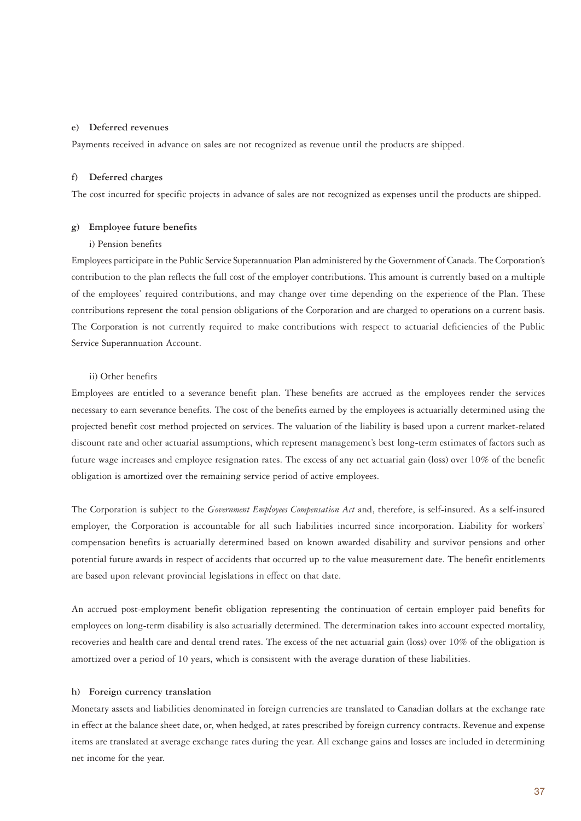### **e) Deferred revenues**

Payments received in advance on sales are not recognized as revenue until the products are shipped.

# **f) Deferred charges**

The cost incurred for specific projects in advance of sales are not recognized as expenses until the products are shipped.

# **g) Employee future benefits**

### i) Pension benefits

Employees participate in the Public Service Superannuation Plan administered by the Government of Canada. The Corporation's contribution to the plan reflects the full cost of the employer contributions. This amount is currently based on a multiple of the employees' required contributions, and may change over time depending on the experience of the Plan. These contributions represent the total pension obligations of the Corporation and are charged to operations on a current basis. The Corporation is not currently required to make contributions with respect to actuarial deficiencies of the Public Service Superannuation Account.

## ii) Other benefits

Employees are entitled to a severance benefit plan. These benefits are accrued as the employees render the services necessary to earn severance benefits. The cost of the benefits earned by the employees is actuarially determined using the projected benefit cost method projected on services. The valuation of the liability is based upon a current market-related discount rate and other actuarial assumptions, which represent management's best long-term estimates of factors such as future wage increases and employee resignation rates. The excess of any net actuarial gain (loss) over 10% of the benefit obligation is amortized over the remaining service period of active employees.

The Corporation is subject to the *Government Employees Compensation Act* and, therefore, is self-insured. As a self-insured employer, the Corporation is accountable for all such liabilities incurred since incorporation. Liability for workers' compensation benefits is actuarially determined based on known awarded disability and survivor pensions and other potential future awards in respect of accidents that occurred up to the value measurement date. The benefit entitlements are based upon relevant provincial legislations in effect on that date.

An accrued post-employment benefit obligation representing the continuation of certain employer paid benefits for employees on long-term disability is also actuarially determined. The determination takes into account expected mortality, recoveries and health care and dental trend rates. The excess of the net actuarial gain (loss) over 10% of the obligation is amortized over a period of 10 years, which is consistent with the average duration of these liabilities.

### **h) Foreign currency translation**

Monetary assets and liabilities denominated in foreign currencies are translated to Canadian dollars at the exchange rate in effect at the balance sheet date, or, when hedged, at rates prescribed by foreign currency contracts. Revenue and expense items are translated at average exchange rates during the year. All exchange gains and losses are included in determining net income for the year.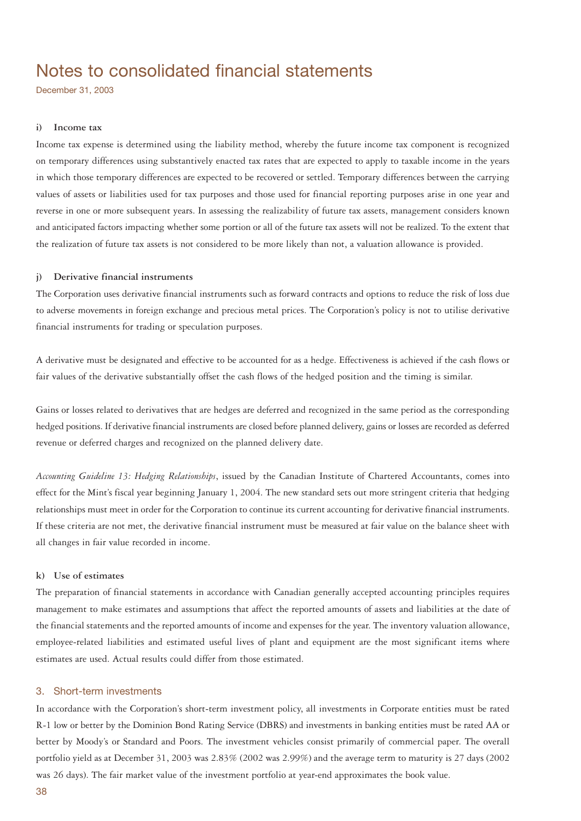# Notes to consolidated financial statements

December 31, 2003

### **i) Income tax**

Income tax expense is determined using the liability method, whereby the future income tax component is recognized on temporary differences using substantively enacted tax rates that are expected to apply to taxable income in the years in which those temporary differences are expected to be recovered or settled. Temporary differences between the carrying values of assets or liabilities used for tax purposes and those used for financial reporting purposes arise in one year and reverse in one or more subsequent years. In assessing the realizability of future tax assets, management considers known and anticipated factors impacting whether some portion or all of the future tax assets will not be realized. To the extent that the realization of future tax assets is not considered to be more likely than not, a valuation allowance is provided.

### **j) Derivative financial instruments**

The Corporation uses derivative financial instruments such as forward contracts and options to reduce the risk of loss due to adverse movements in foreign exchange and precious metal prices. The Corporation's policy is not to utilise derivative financial instruments for trading or speculation purposes.

A derivative must be designated and effective to be accounted for as a hedge. Effectiveness is achieved if the cash flows or fair values of the derivative substantially offset the cash flows of the hedged position and the timing is similar.

Gains or losses related to derivatives that are hedges are deferred and recognized in the same period as the corresponding hedged positions. If derivative financial instruments are closed before planned delivery, gains or losses are recorded as deferred revenue or deferred charges and recognized on the planned delivery date.

*Accounting Guideline 13: Hedging Relationships*, issued by the Canadian Institute of Chartered Accountants, comes into effect for the Mint's fiscal year beginning January 1, 2004. The new standard sets out more stringent criteria that hedging relationships must meet in order for the Corporation to continue its current accounting for derivative financial instruments. If these criteria are not met, the derivative financial instrument must be measured at fair value on the balance sheet with all changes in fair value recorded in income.

# **k) Use of estimates**

The preparation of financial statements in accordance with Canadian generally accepted accounting principles requires management to make estimates and assumptions that affect the reported amounts of assets and liabilities at the date of the financial statements and the reported amounts of income and expenses for the year. The inventory valuation allowance, employee-related liabilities and estimated useful lives of plant and equipment are the most significant items where estimates are used. Actual results could differ from those estimated.

# 3. Short-term investments

In accordance with the Corporation's short-term investment policy, all investments in Corporate entities must be rated R-1 low or better by the Dominion Bond Rating Service (DBRS) and investments in banking entities must be rated AA or better by Moody's or Standard and Poors. The investment vehicles consist primarily of commercial paper. The overall portfolio yield as at December 31, 2003 was 2.83% (2002 was 2.99%) and the average term to maturity is 27 days (2002 was 26 days). The fair market value of the investment portfolio at year-end approximates the book value.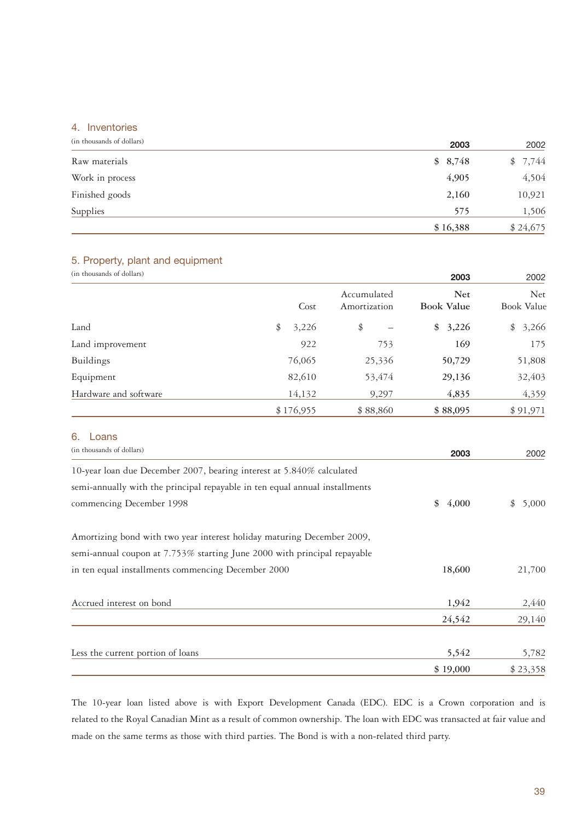# 4. Inventories

| (in thousands of dollars) | 2003     | 2002        |
|---------------------------|----------|-------------|
| Raw materials             | \$8,748  | 7,744<br>\$ |
| Work in process           | 4,905    | 4,504       |
| Finished goods            | 2,160    | 10,921      |
| Supplies                  | 575      | 1,506       |
|                           | \$16,388 | \$24,675    |

# 5. Property, plant and equipment

| (in thousands of dollars) |             |                             | 2003                            | 2002                     |
|---------------------------|-------------|-----------------------------|---------------------------------|--------------------------|
|                           | Cost        | Accumulated<br>Amortization | <b>Net</b><br><b>Book Value</b> | <b>Net</b><br>Book Value |
| Land                      | 3,226<br>\$ | \$                          | 3,226<br>\$                     | 3,266<br>\$              |
| Land improvement          | 922         | 753                         | 169                             | 175                      |
| Buildings                 | 76,065      | 25,336                      | 50,729                          | 51,808                   |
| Equipment                 | 82,610      | 53,474                      | 29,136                          | 32,403                   |
| Hardware and software     | 14,132      | 9,297                       | 4,835                           | 4,359                    |
|                           | \$176,955   | \$88,860                    | \$88,095                        | \$91,971                 |

# 6. Loans

| (in thousands of dollars)                                                   | 2003        | 2002        |
|-----------------------------------------------------------------------------|-------------|-------------|
| 10-year loan due December 2007, bearing interest at 5.840% calculated       |             |             |
| semi-annually with the principal repayable in ten equal annual installments |             |             |
| commencing December 1998                                                    | \$<br>4,000 | \$<br>5,000 |
| Amortizing bond with two year interest holiday maturing December 2009,      |             |             |
| semi-annual coupon at 7.753% starting June 2000 with principal repayable    |             |             |
| in ten equal installments commencing December 2000                          | 18,600      | 21,700      |
| Accrued interest on bond                                                    | 1,942       | 2,440       |
|                                                                             | 24,542      | 29,140      |
| Less the current portion of loans                                           | 5,542       | 5,782       |
|                                                                             | \$19,000    | \$23,358    |

The 10-year loan listed above is with Export Development Canada (EDC). EDC is a Crown corporation and is related to the Royal Canadian Mint as a result of common ownership. The loan with EDC was transacted at fair value and made on the same terms as those with third parties. The Bond is with a non-related third party.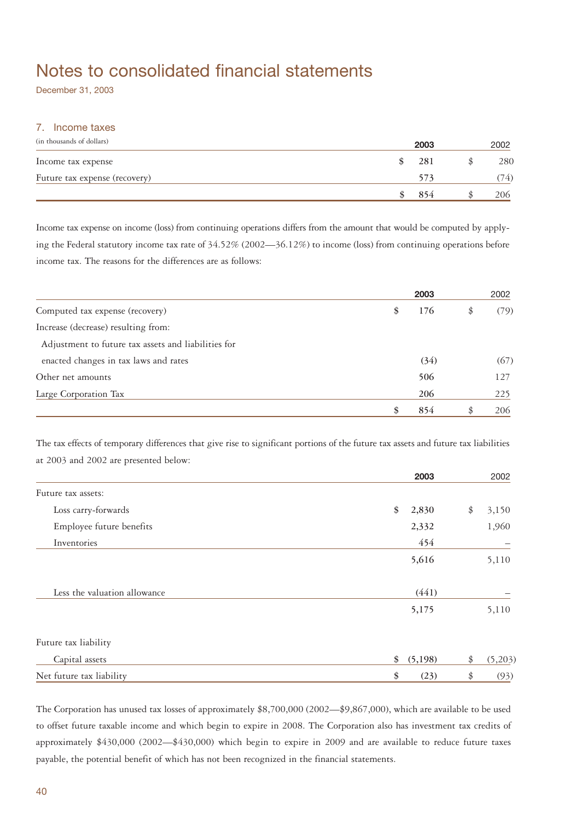# Notes to consolidated financial statements

December 31, 2003

# 7. Income taxes

| (in thousands of dollars)     | 2003 | 2002 |
|-------------------------------|------|------|
| Income tax expense            | 281  | 280  |
| Future tax expense (recovery) | 573  | (74) |
|                               | 854  | 206  |

Income tax expense on income (loss) from continuing operations differs from the amount that would be computed by applying the Federal statutory income tax rate of 34.52% (2002—36.12%) to income (loss) from continuing operations before income tax. The reasons for the differences are as follows:

|                                                     | 2003      |    | 2002 |
|-----------------------------------------------------|-----------|----|------|
| Computed tax expense (recovery)                     | \$<br>176 | \$ | (79) |
| Increase (decrease) resulting from:                 |           |    |      |
| Adjustment to future tax assets and liabilities for |           |    |      |
| enacted changes in tax laws and rates               | (34)      |    | (67) |
| Other net amounts                                   | 506       |    | 127  |
| Large Corporation Tax                               | 206       |    | 225  |
|                                                     | \$<br>854 | S  | 206  |

The tax effects of temporary differences that give rise to significant portions of the future tax assets and future tax liabilities at 2003 and 2002 are presented below:

|                              | 2003          | 2002          |
|------------------------------|---------------|---------------|
| Future tax assets:           |               |               |
| Loss carry-forwards          | \$<br>2,830   | \$<br>3,150   |
| Employee future benefits     | 2,332         | 1,960         |
| Inventories                  | 454           |               |
|                              | 5,616         | 5,110         |
| Less the valuation allowance | (441)         |               |
|                              | 5,175         | 5,110         |
| Future tax liability         |               |               |
| Capital assets               | \$<br>(5,198) | \$<br>(5,203) |
| Net future tax liability     | \$<br>(23)    | \$<br>(93)    |

The Corporation has unused tax losses of approximately \$8,700,000 (2002—\$9,867,000), which are available to be used to offset future taxable income and which begin to expire in 2008. The Corporation also has investment tax credits of approximately \$430,000 (2002—\$430,000) which begin to expire in 2009 and are available to reduce future taxes payable, the potential benefit of which has not been recognized in the financial statements.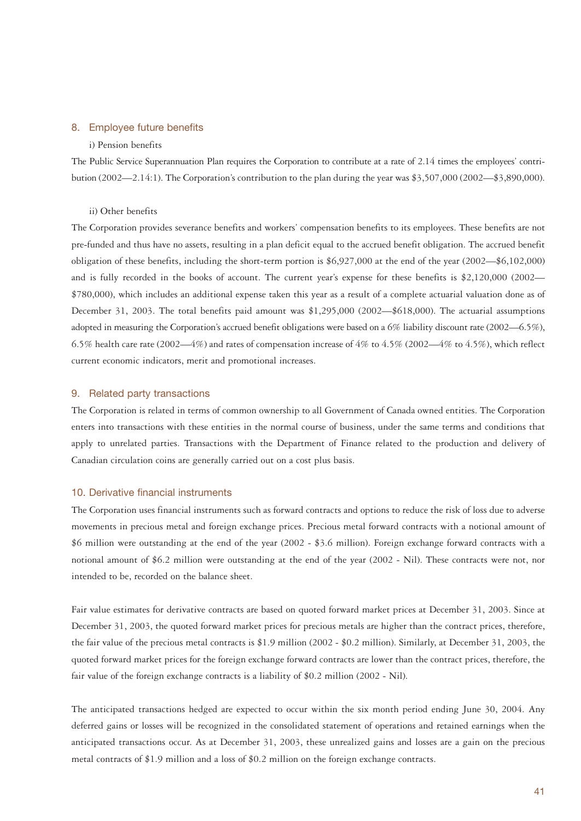### 8. Employee future benefits

### i) Pension benefits

The Public Service Superannuation Plan requires the Corporation to contribute at a rate of 2.14 times the employees' contribution (2002—2.14:1). The Corporation's contribution to the plan during the year was \$3,507,000 (2002—\$3,890,000).

### ii) Other benefits

The Corporation provides severance benefits and workers' compensation benefits to its employees. These benefits are not pre-funded and thus have no assets, resulting in a plan deficit equal to the accrued benefit obligation. The accrued benefit obligation of these benefits, including the short-term portion is \$6,927,000 at the end of the year (2002—\$6,102,000) and is fully recorded in the books of account. The current year's expense for these benefits is \$2,120,000 (2002— \$780,000), which includes an additional expense taken this year as a result of a complete actuarial valuation done as of December 31, 2003. The total benefits paid amount was \$1,295,000 (2002—\$618,000). The actuarial assumptions adopted in measuring the Corporation's accrued benefit obligations were based on a 6% liability discount rate (2002—6.5%), 6.5% health care rate (2002—4%) and rates of compensation increase of 4% to 4.5% (2002—4% to 4.5%), which reflect current economic indicators, merit and promotional increases.

### 9. Related party transactions

The Corporation is related in terms of common ownership to all Government of Canada owned entities. The Corporation enters into transactions with these entities in the normal course of business, under the same terms and conditions that apply to unrelated parties. Transactions with the Department of Finance related to the production and delivery of Canadian circulation coins are generally carried out on a cost plus basis.

## 10. Derivative financial instruments

The Corporation uses financial instruments such as forward contracts and options to reduce the risk of loss due to adverse movements in precious metal and foreign exchange prices. Precious metal forward contracts with a notional amount of \$6 million were outstanding at the end of the year (2002 - \$3.6 million). Foreign exchange forward contracts with a notional amount of \$6.2 million were outstanding at the end of the year (2002 - Nil). These contracts were not, nor intended to be, recorded on the balance sheet.

Fair value estimates for derivative contracts are based on quoted forward market prices at December 31, 2003. Since at December 31, 2003, the quoted forward market prices for precious metals are higher than the contract prices, therefore, the fair value of the precious metal contracts is \$1.9 million (2002 - \$0.2 million). Similarly, at December 31, 2003, the quoted forward market prices for the foreign exchange forward contracts are lower than the contract prices, therefore, the fair value of the foreign exchange contracts is a liability of \$0.2 million (2002 - Nil).

The anticipated transactions hedged are expected to occur within the six month period ending June 30, 2004. Any deferred gains or losses will be recognized in the consolidated statement of operations and retained earnings when the anticipated transactions occur. As at December 31, 2003, these unrealized gains and losses are a gain on the precious metal contracts of \$1.9 million and a loss of \$0.2 million on the foreign exchange contracts.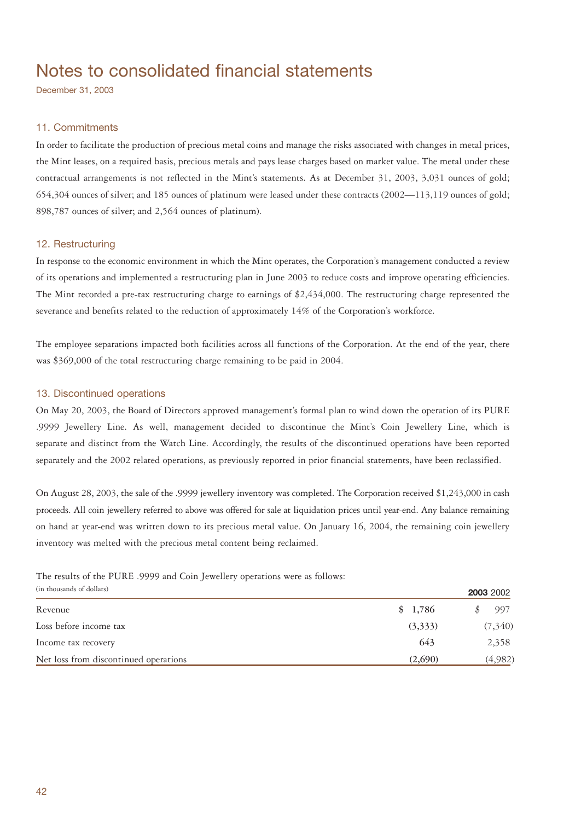# Notes to consolidated financial statements

December 31, 2003

# 11. Commitments

In order to facilitate the production of precious metal coins and manage the risks associated with changes in metal prices, the Mint leases, on a required basis, precious metals and pays lease charges based on market value. The metal under these contractual arrangements is not reflected in the Mint's statements. As at December 31, 2003, 3,031 ounces of gold; 654,304 ounces of silver; and 185 ounces of platinum were leased under these contracts (2002—113,119 ounces of gold; 898,787 ounces of silver; and 2,564 ounces of platinum).

# 12. Restructuring

In response to the economic environment in which the Mint operates, the Corporation's management conducted a review of its operations and implemented a restructuring plan in June 2003 to reduce costs and improve operating efficiencies. The Mint recorded a pre-tax restructuring charge to earnings of \$2,434,000. The restructuring charge represented the severance and benefits related to the reduction of approximately 14% of the Corporation's workforce.

The employee separations impacted both facilities across all functions of the Corporation. At the end of the year, there was \$369,000 of the total restructuring charge remaining to be paid in 2004.

# 13. Discontinued operations

On May 20, 2003, the Board of Directors approved management's formal plan to wind down the operation of its PURE .9999 Jewellery Line. As well, management decided to discontinue the Mint's Coin Jewellery Line, which is separate and distinct from the Watch Line. Accordingly, the results of the discontinued operations have been reported separately and the 2002 related operations, as previously reported in prior financial statements, have been reclassified.

On August 28, 2003, the sale of the .9999 jewellery inventory was completed. The Corporation received \$1,243,000 in cash proceeds. All coin jewellery referred to above was offered for sale at liquidation prices until year-end. Any balance remaining on hand at year-end was written down to its precious metal value. On January 16, 2004, the remaining coin jewellery inventory was melted with the precious metal content being reclaimed.

The results of the PURE .9999 and Coin Jewellery operations were as follows:

| (in thousands of dollars)             |         | 2003 2002 |
|---------------------------------------|---------|-----------|
| Revenue                               | \$1,786 | 997       |
| Loss before income tax                | (3,333) | (7,340)   |
| Income tax recovery                   | 643     | 2,358     |
| Net loss from discontinued operations | (2,690) | (4,982)   |